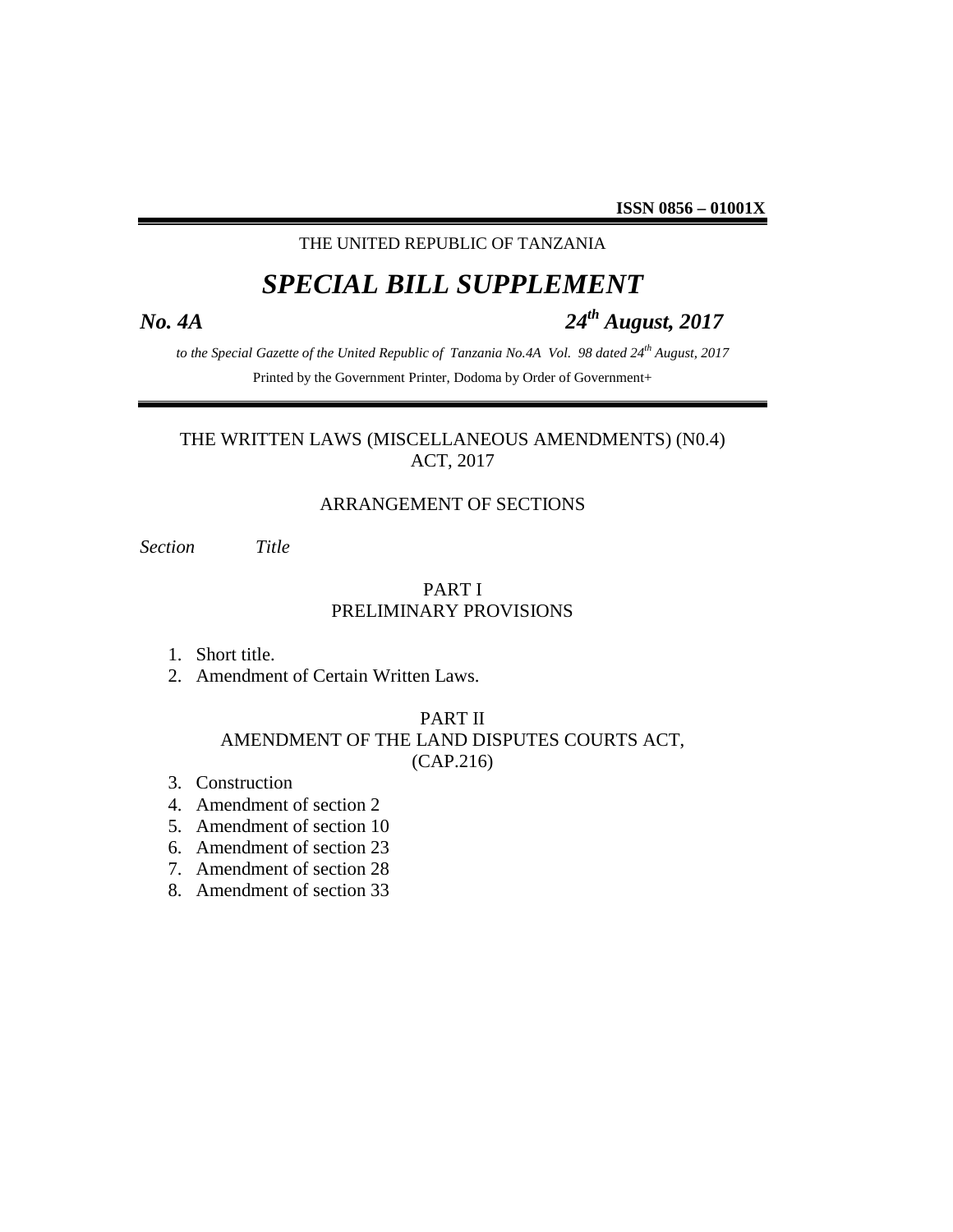### THE UNITED REPUBLIC OF TANZANIA

## *SPECIAL BILL SUPPLEMENT*

# *No. 4A 24th August, 2017*

*to the Special Gazette of the United Republic of Tanzania No.4A Vol. 98 dated 24th August, 2017* Printed by the Government Printer, Dodoma by Order of Government+

### THE WRITTEN LAWS (MISCELLANEOUS AMENDMENTS) (N0.4) ACT, 2017

### ARRANGEMENT OF SECTIONS

*Section Title*

### PART I PRELIMINARY PROVISIONS

- 1. Short title.
- 2. Amendment of Certain Written Laws.

### PART II AMENDMENT OF THE LAND DISPUTES COURTS ACT, (CAP.216)

- 3. Construction
- 4. Amendment of section 2
- 5. Amendment of section 10
- 6. Amendment of section 23
- 7. Amendment of section 28
- 8. Amendment of section 33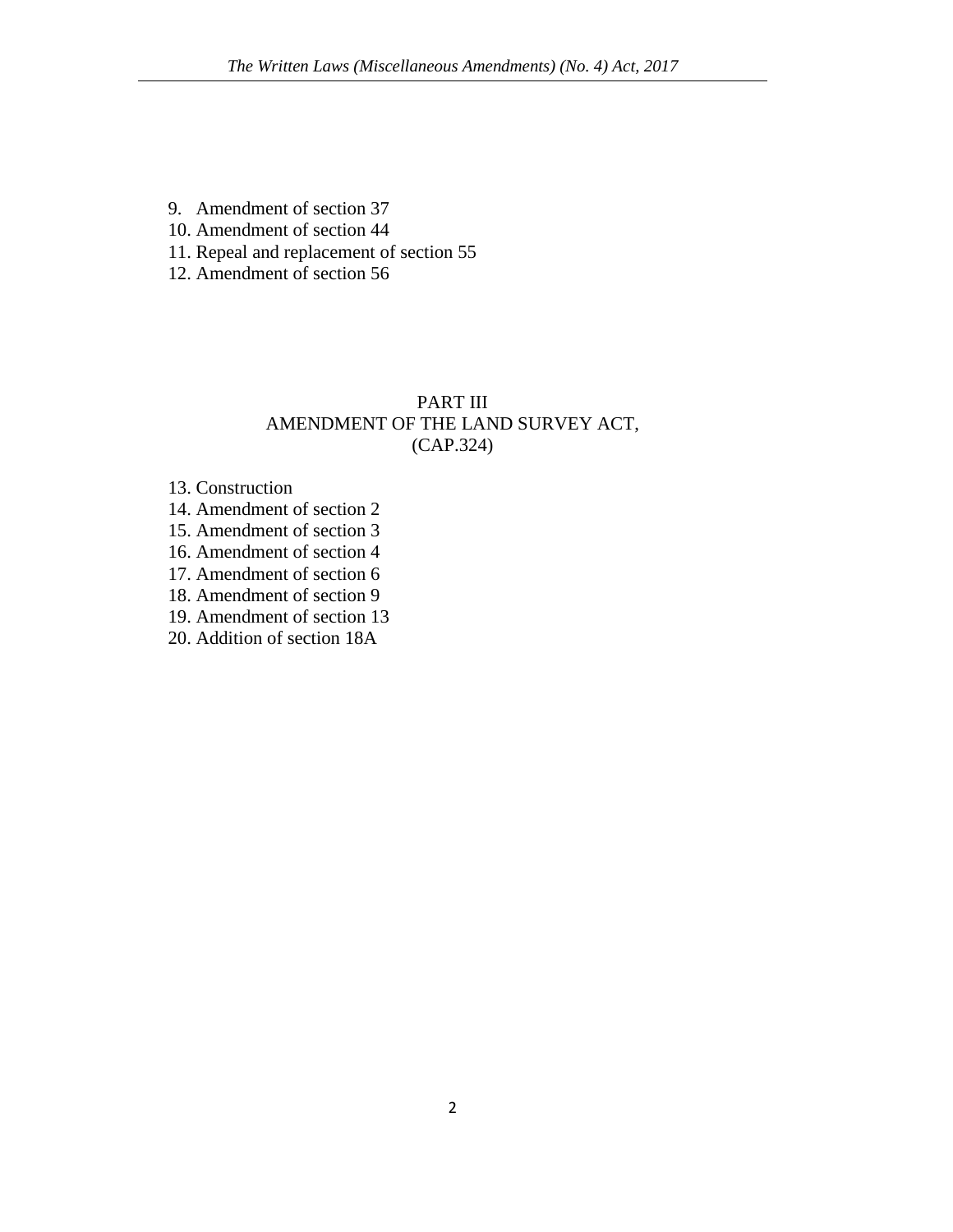- 9. Amendment of section 37
- 10. Amendment of section 44
- 11. Repeal and replacement of section 55
- 12. Amendment of section 56

### PART III AMENDMENT OF THE LAND SURVEY ACT, (CAP.324)

### 13. Construction

- 14. Amendment of section 2
- 15. Amendment of section 3
- 16. Amendment of section 4
- 17. Amendment of section 6
- 18. Amendment of section 9
- 19. Amendment of section 13
- 20. Addition of section 18A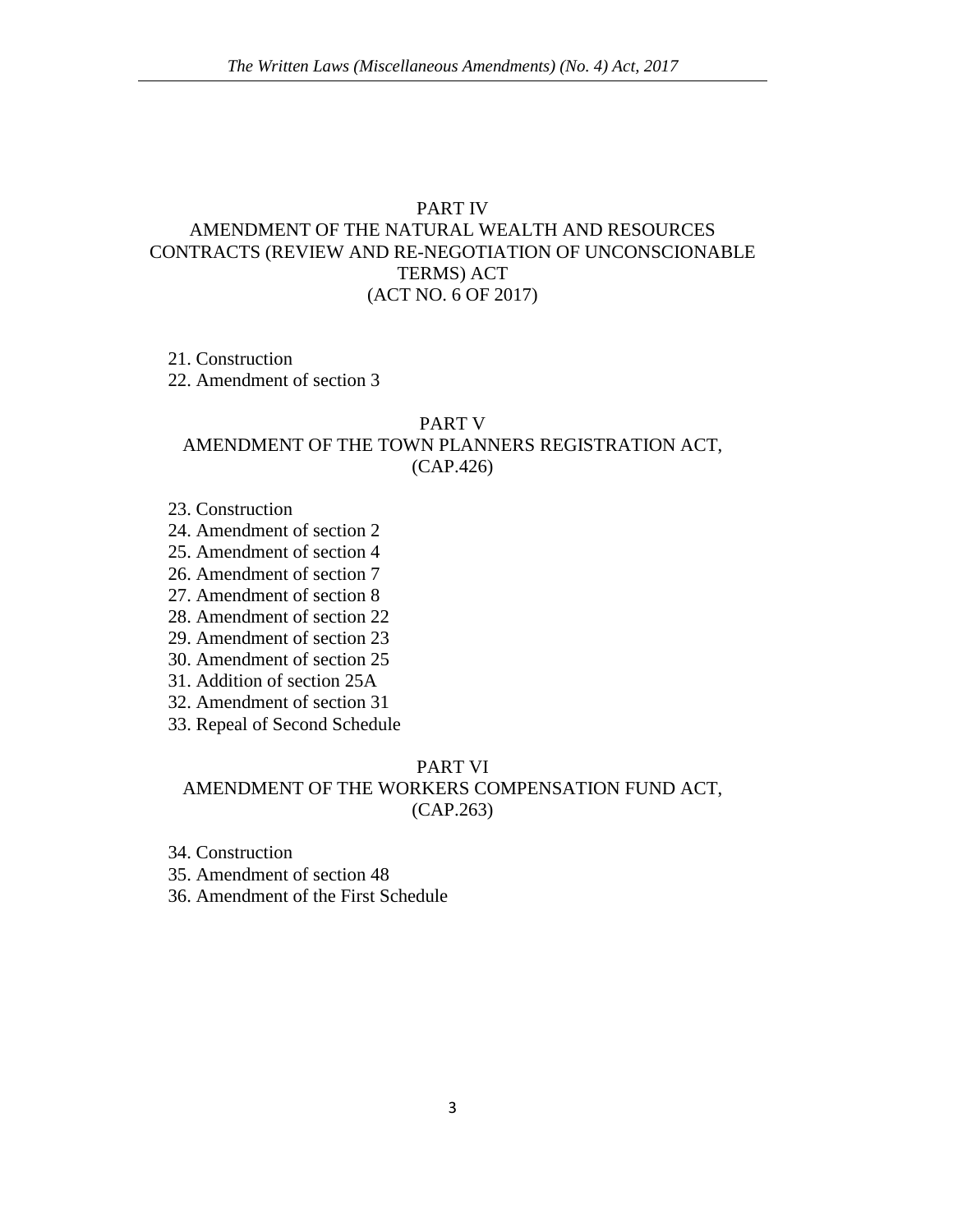### PART IV

### AMENDMENT OF THE NATURAL WEALTH AND RESOURCES CONTRACTS (REVIEW AND RE-NEGOTIATION OF UNCONSCIONABLE TERMS) ACT (ACT NO. 6 OF 2017)

### 21. Construction

22. Amendment of section 3

### PART V

### AMENDMENT OF THE TOWN PLANNERS REGISTRATION ACT, (CAP.426)

- 23. Construction
- 24. Amendment of section 2
- 25. Amendment of section 4
- 26. Amendment of section 7
- 27. Amendment of section 8
- 28. Amendment of section 22
- 29. Amendment of section 23
- 30. Amendment of section 25
- 31. Addition of section 25A
- 32. Amendment of section 31
- 33. Repeal of Second Schedule

### PART VI

### AMENDMENT OF THE WORKERS COMPENSATION FUND ACT, (CAP.263)

- 34. Construction
- 35. Amendment of section 48
- 36. Amendment of the First Schedule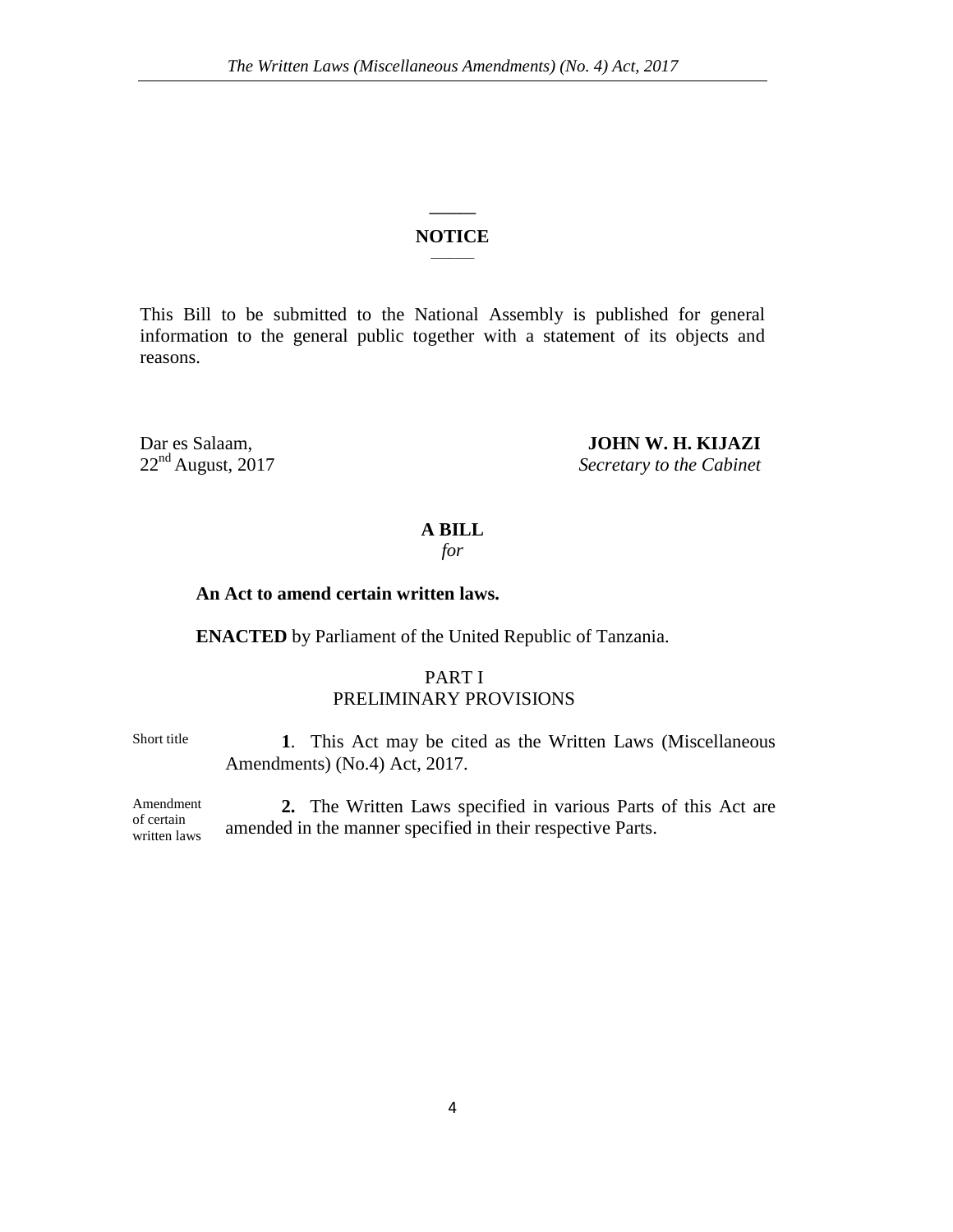### **\_\_\_\_\_\_ NOTICE**  $\overline{\phantom{a}}$

This Bill to be submitted to the National Assembly is published for general information to the general public together with a statement of its objects and reasons.

# Dar es Salaam, **JOHN W. H. KIJAZI**<br>22<sup>nd</sup> August, 2017 Secretary to the Cabinet

**Secretary to the Cabinet** 

### **A BILL**

*for*

### **An Act to amend certain written laws.**

**ENACTED** by Parliament of the United Republic of Tanzania.

### PART I PRELIMINARY PROVISIONS

Short title **1**. This Act may be cited as the Written Laws (Miscellaneous Amendments) (No.4) Act, 2017.

Amendment of certain written laws **2.** The Written Laws specified in various Parts of this Act are amended in the manner specified in their respective Parts.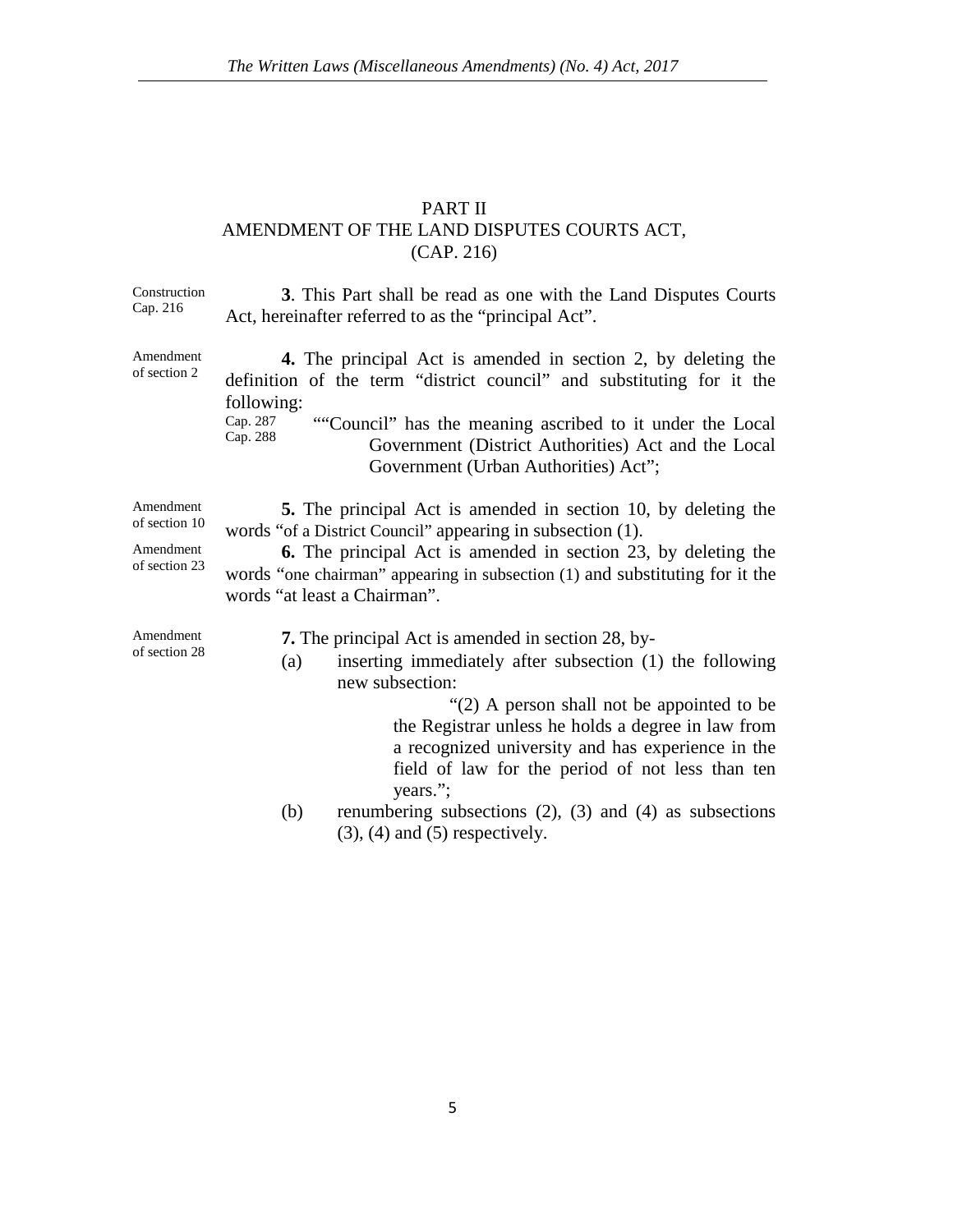### PART II AMENDMENT OF THE LAND DISPUTES COURTS ACT, (CAP. 216)

Construction Cap. 216 **3**. This Part shall be read as one with the Land Disputes Courts Act, hereinafter referred to as the "principal Act". Amendment of section 2 **4.** The principal Act is amended in section 2, by deleting the definition of the term "district council" and substituting for it the following: Cap. 287 Cap. 288 ""Council" has the meaning ascribed to it under the Local Government (District Authorities) Act and the Local Government (Urban Authorities) Act"; Amendment of section 10 **5.** The principal Act is amended in section 10, by deleting the words "of a District Council" appearing in subsection (1). Amendment of section 23 **6.** The principal Act is amended in section 23, by deleting the words "one chairman" appearing in subsection (1) and substituting for it the words "at least a Chairman". Amendment of section 28 **7.** The principal Act is amended in section 28, by- (a) inserting immediately after subsection (1) the following new subsection: "(2) A person shall not be appointed to be the Registrar unless he holds a degree in law from a recognized university and has experience in the field of law for the period of not less than ten years."; (b) renumbering subsections (2), (3) and (4) as subsections  $(3)$ ,  $(4)$  and  $(5)$  respectively.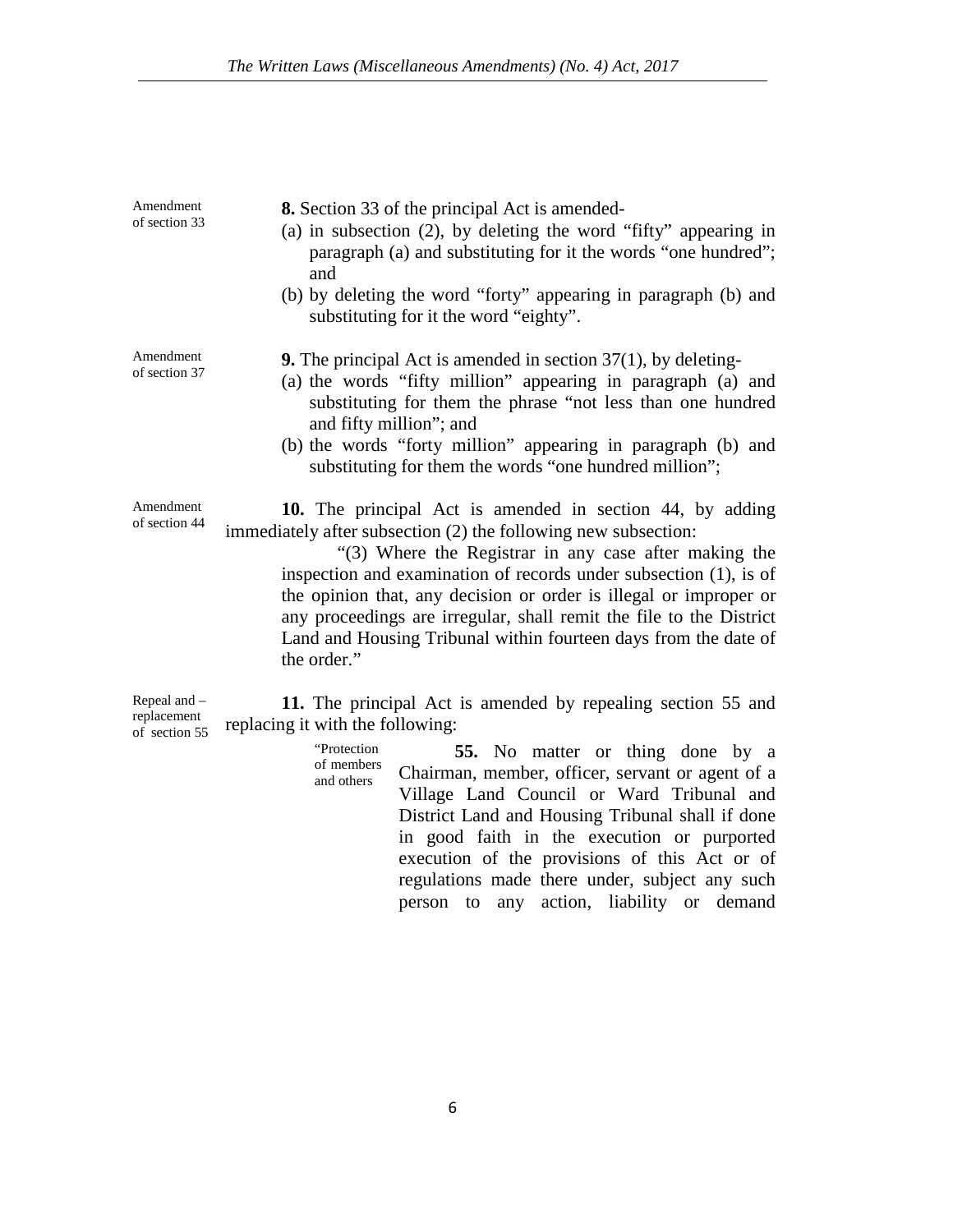| Amendment<br>of section 33                   | 8. Section 33 of the principal Act is amended-<br>(a) in subsection $(2)$ , by deleting the word "fifty" appearing in<br>paragraph (a) and substituting for it the words "one hundred";<br>and<br>(b) by deleting the word "forty" appearing in paragraph (b) and<br>substituting for it the word "eighty".                                                                                                                                                                             |
|----------------------------------------------|-----------------------------------------------------------------------------------------------------------------------------------------------------------------------------------------------------------------------------------------------------------------------------------------------------------------------------------------------------------------------------------------------------------------------------------------------------------------------------------------|
| Amendment<br>of section 37                   | <b>9.</b> The principal Act is amended in section $37(1)$ , by deleting-<br>(a) the words "fifty million" appearing in paragraph (a) and<br>substituting for them the phrase "not less than one hundred<br>and fifty million"; and<br>(b) the words "forty million" appearing in paragraph (b) and<br>substituting for them the words "one hundred million";                                                                                                                            |
| Amendment<br>of section 44                   | 10. The principal Act is amended in section 44, by adding<br>immediately after subsection (2) the following new subsection:<br>"(3) Where the Registrar in any case after making the<br>inspection and examination of records under subsection (1), is of<br>the opinion that, any decision or order is illegal or improper or<br>any proceedings are irregular, shall remit the file to the District<br>Land and Housing Tribunal within fourteen days from the date of<br>the order." |
| Repeal and -<br>replacement<br>of section 55 | 11. The principal Act is amended by repealing section 55 and<br>replacing it with the following:                                                                                                                                                                                                                                                                                                                                                                                        |

replacem of section 55

"Protection of members and others **55.** No matter or thing done by a Chairman, member, officer, servant or agent of a Village Land Council or Ward Tribunal and District Land and Housing Tribunal shall if done in good faith in the execution or purported execution of the provisions of this Act or of regulations made there under, subject any such person to any action, liability or demand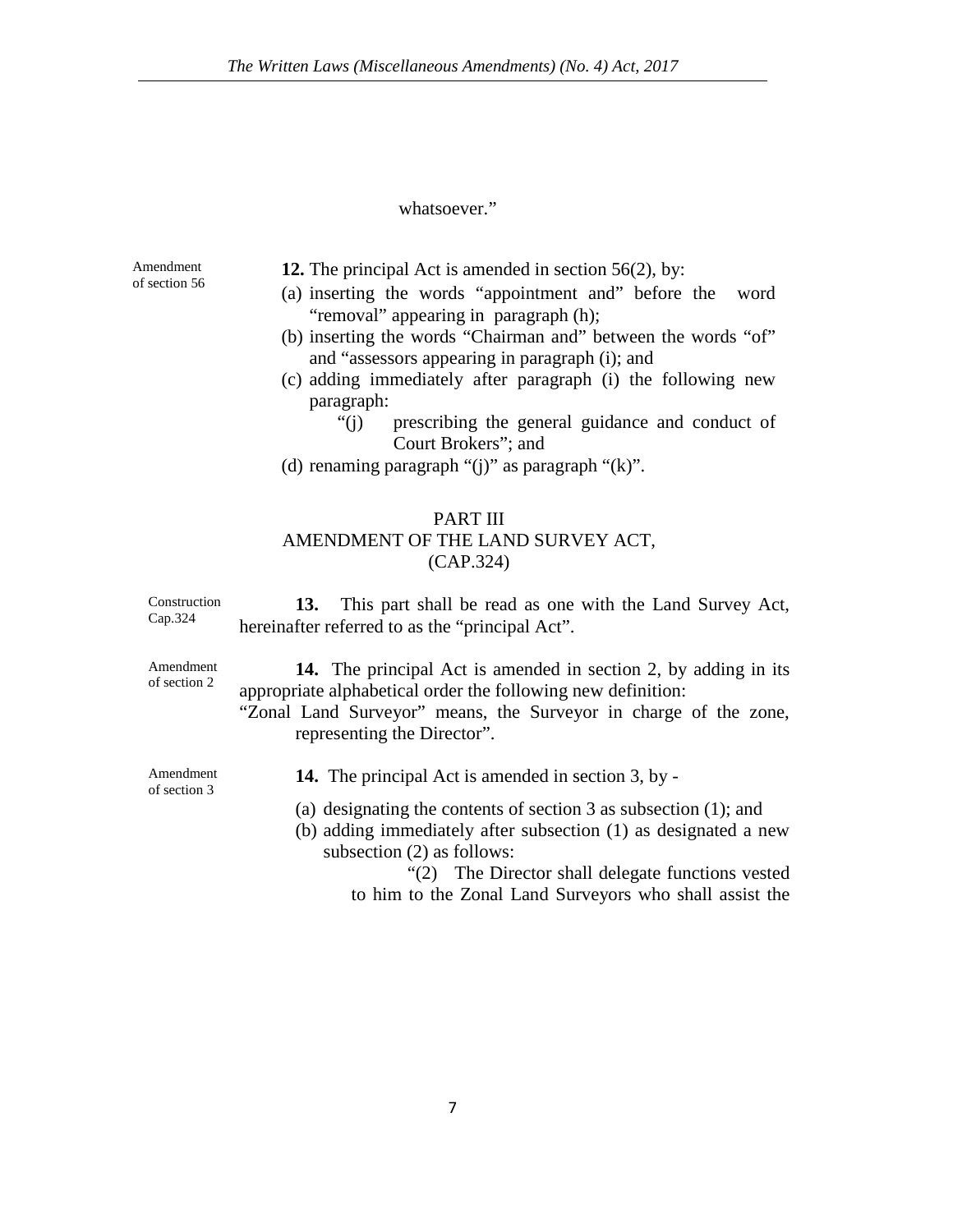### whatsoever."

Amendment of section 56 **12.** The principal Act is amended in section 56(2), by:

- (a) inserting the words "appointment and" before the word "removal" appearing in paragraph (h);
- (b) inserting the words "Chairman and" between the words "of" and "assessors appearing in paragraph (i); and
- (c) adding immediately after paragraph (i) the following new paragraph:
	- "(j) prescribing the general guidance and conduct of Court Brokers"; and
- (d) renaming paragraph "(j)" as paragraph "(k)".

### PART III AMENDMENT OF THE LAND SURVEY ACT, (CAP.324)

Construction Cap.324 **13.** This part shall be read as one with the Land Survey Act, hereinafter referred to as the "principal Act".

Amendment of section 2

**14.** The principal Act is amended in section 2, by adding in its appropriate alphabetical order the following new definition:

"Zonal Land Surveyor" means, the Surveyor in charge of the zone, representing the Director".

Amendment of section 3

- **14.** The principal Act is amended in section 3, by -
- (a) designating the contents of section 3 as subsection (1); and
- (b) adding immediately after subsection (1) as designated a new subsection (2) as follows:

"(2) The Director shall delegate functions vested to him to the Zonal Land Surveyors who shall assist the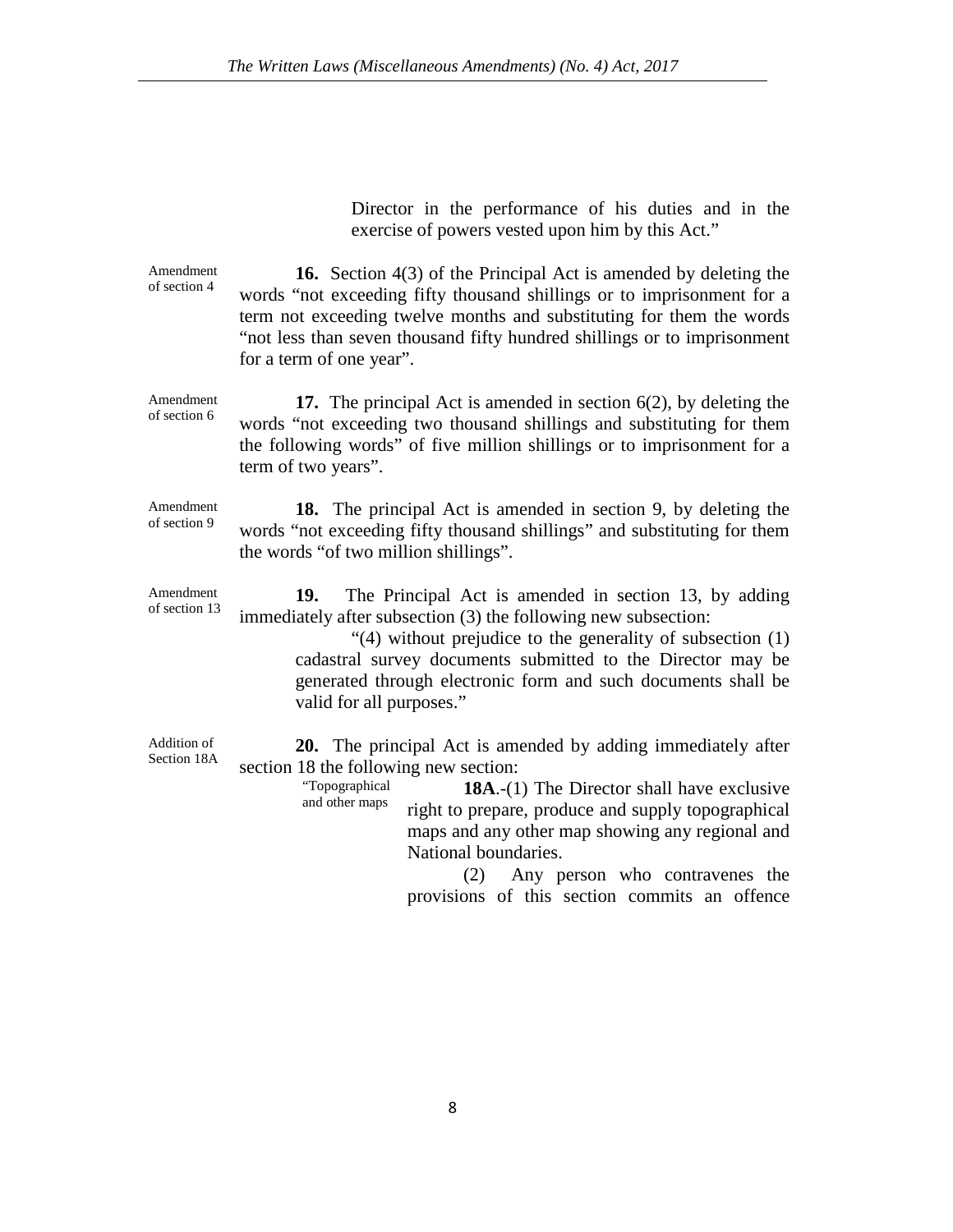Director in the performance of his duties and in the exercise of powers vested upon him by this Act."

| Amendment<br>of section 4  | <b>16.</b> Section 4(3) of the Principal Act is amended by deleting the<br>words "not exceeding fifty thousand shillings or to imprisonment for a<br>term not exceeding twelve months and substituting for them the words<br>"not less than seven thousand fifty hundred shillings or to imprisonment<br>for a term of one year".                                                                                          |
|----------------------------|----------------------------------------------------------------------------------------------------------------------------------------------------------------------------------------------------------------------------------------------------------------------------------------------------------------------------------------------------------------------------------------------------------------------------|
| Amendment<br>of section 6  | 17. The principal Act is amended in section $6(2)$ , by deleting the<br>words "not exceeding two thousand shillings and substituting for them<br>the following words" of five million shillings or to imprisonment for a<br>term of two years".                                                                                                                                                                            |
| Amendment<br>of section 9  | <b>18.</b> The principal Act is amended in section 9, by deleting the<br>words "not exceeding fifty thousand shillings" and substituting for them<br>the words "of two million shillings".                                                                                                                                                                                                                                 |
| Amendment<br>of section 13 | 19.<br>The Principal Act is amended in section 13, by adding<br>immediately after subsection (3) the following new subsection:<br>"(4) without prejudice to the generality of subsection (1)<br>cadastral survey documents submitted to the Director may be<br>generated through electronic form and such documents shall be<br>valid for all purposes."                                                                   |
| Addition of<br>Section 18A | 20. The principal Act is amended by adding immediately after<br>section 18 the following new section:<br>"Topographical<br><b>18A.</b> -(1) The Director shall have exclusive<br>and other maps<br>right to prepare, produce and supply topographical<br>maps and any other map showing any regional and<br>National boundaries.<br>(2)<br>Any person who contravenes the<br>provisions of this section commits an offence |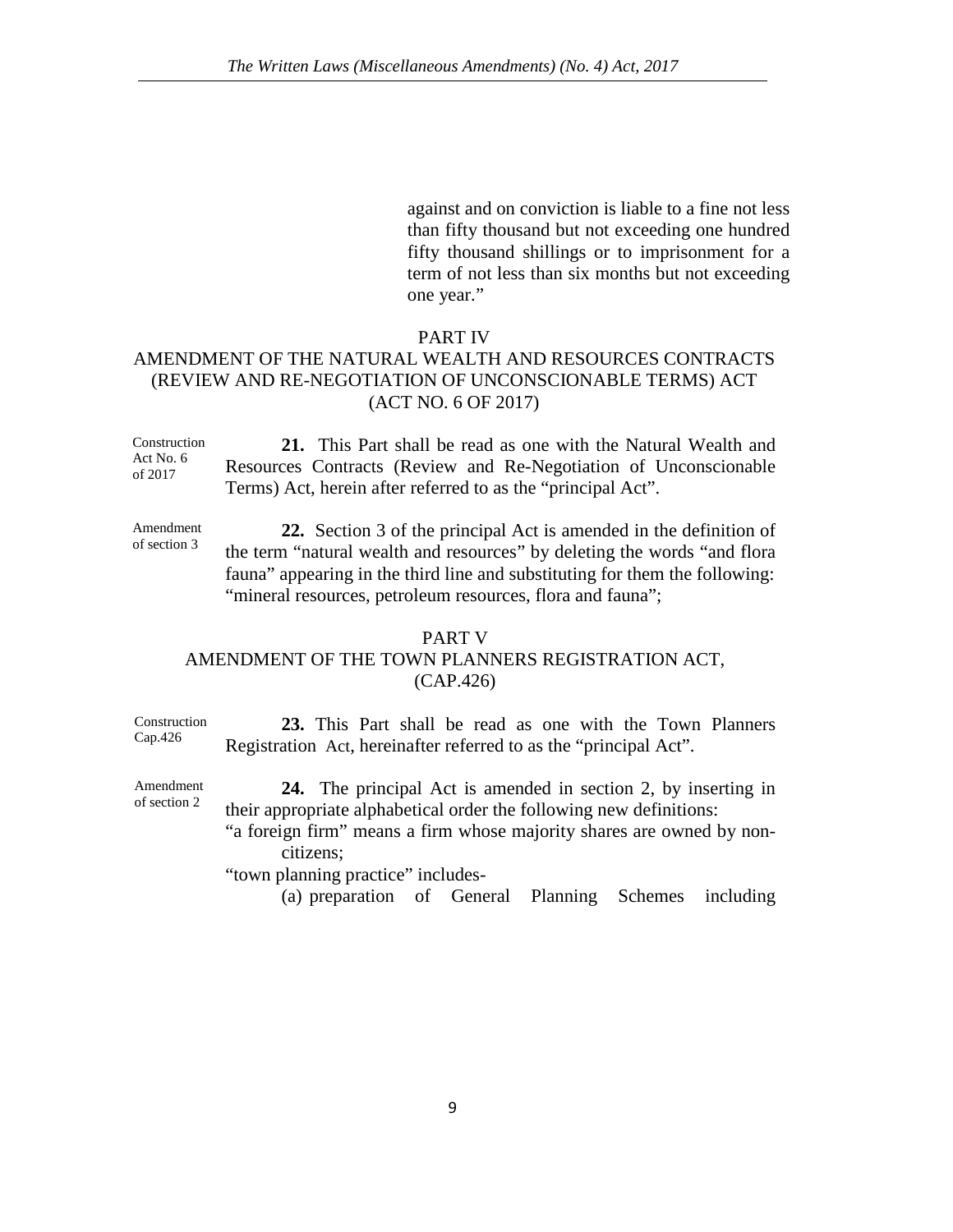against and on conviction is liable to a fine not less than fifty thousand but not exceeding one hundred fifty thousand shillings or to imprisonment for a term of not less than six months but not exceeding one year."

### PART IV

### AMENDMENT OF THE NATURAL WEALTH AND RESOURCES CONTRACTS (REVIEW AND RE-NEGOTIATION OF UNCONSCIONABLE TERMS) ACT (ACT NO. 6 OF 2017)

Construction Act No. 6 of 2017 **21.** This Part shall be read as one with the Natural Wealth and Resources Contracts (Review and Re-Negotiation of Unconscionable Terms) Act, herein after referred to as the "principal Act".

Amendment of section 3 **22.** Section 3 of the principal Act is amended in the definition of the term "natural wealth and resources" by deleting the words "and flora fauna" appearing in the third line and substituting for them the following: "mineral resources, petroleum resources, flora and fauna";

### PART V

### AMENDMENT OF THE TOWN PLANNERS REGISTRATION ACT, (CAP.426)

Construction Cap.426 **23.** This Part shall be read as one with the Town Planners Registration Act, hereinafter referred to as the "principal Act".

Amendment of section 2 **24.** The principal Act is amended in section 2, by inserting in their appropriate alphabetical order the following new definitions:

"a foreign firm" means a firm whose majority shares are owned by noncitizens;

"town planning practice" includes-

(a) preparation of General Planning Schemes including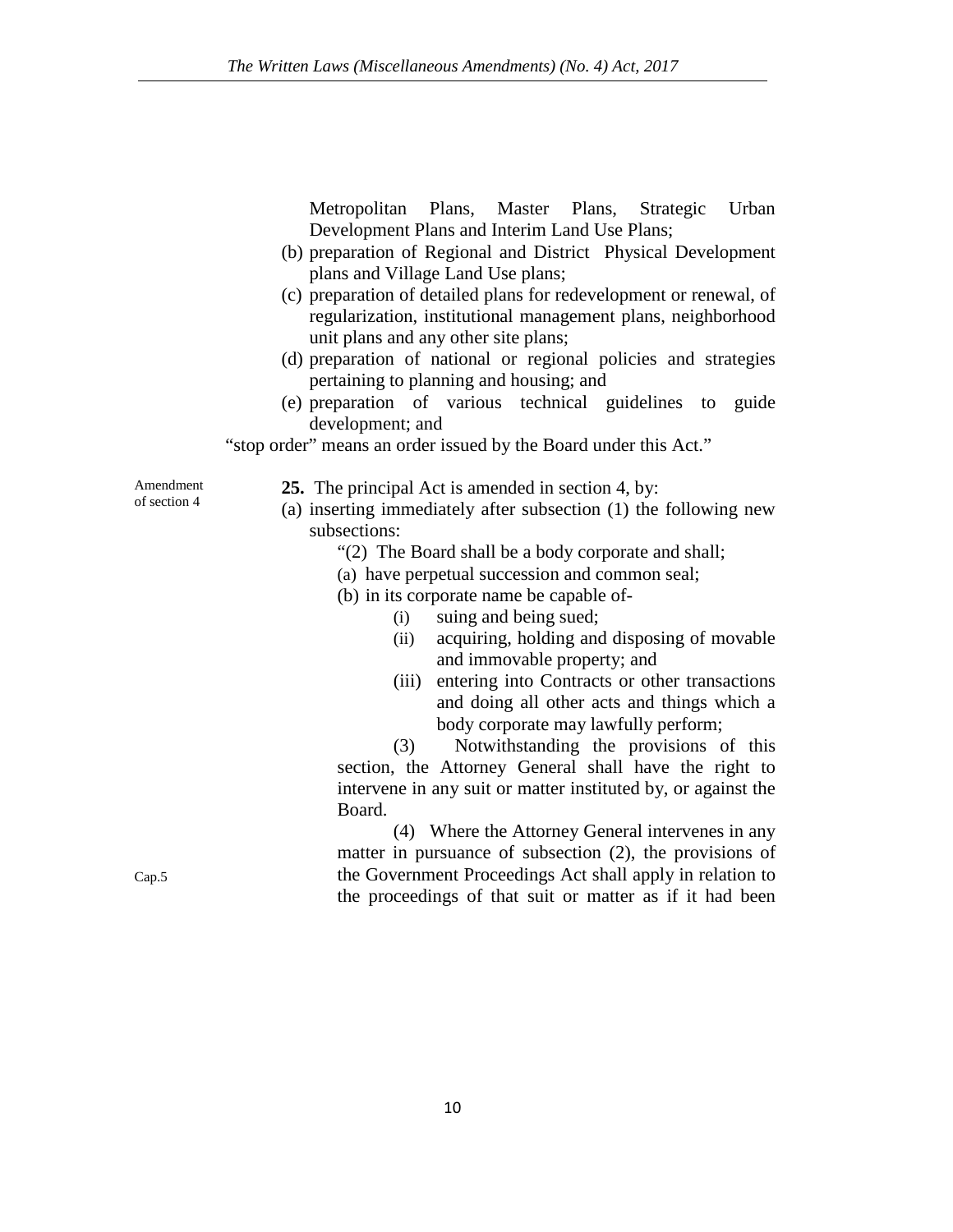Metropolitan Plans, Master Plans, Strategic Urban Development Plans and Interim Land Use Plans;

- (b) preparation of Regional and District Physical Development plans and Village Land Use plans;
- (c) preparation of detailed plans for redevelopment or renewal, of regularization, institutional management plans, neighborhood unit plans and any other site plans;
- (d) preparation of national or regional policies and strategies pertaining to planning and housing; and
- (e) preparation of various technical guidelines to guide development; and

"stop order" means an order issued by the Board under this Act."

Amendment of section 4

- **25.** The principal Act is amended in section 4, by:
- (a) inserting immediately after subsection (1) the following new subsections:
	- "(2) The Board shall be a body corporate and shall;
	- (a) have perpetual succession and common seal;
	- (b) in its corporate name be capable of-
		- (i) suing and being sued;
		- (ii) acquiring, holding and disposing of movable and immovable property; and
		- (iii) entering into Contracts or other transactions and doing all other acts and things which a body corporate may lawfully perform;

(3) Notwithstanding the provisions of this section, the Attorney General shall have the right to intervene in any suit or matter instituted by, or against the Board.

(4) Where the Attorney General intervenes in any matter in pursuance of subsection (2), the provisions of the Government Proceedings Act shall apply in relation to the proceedings of that suit or matter as if it had been

Cap.5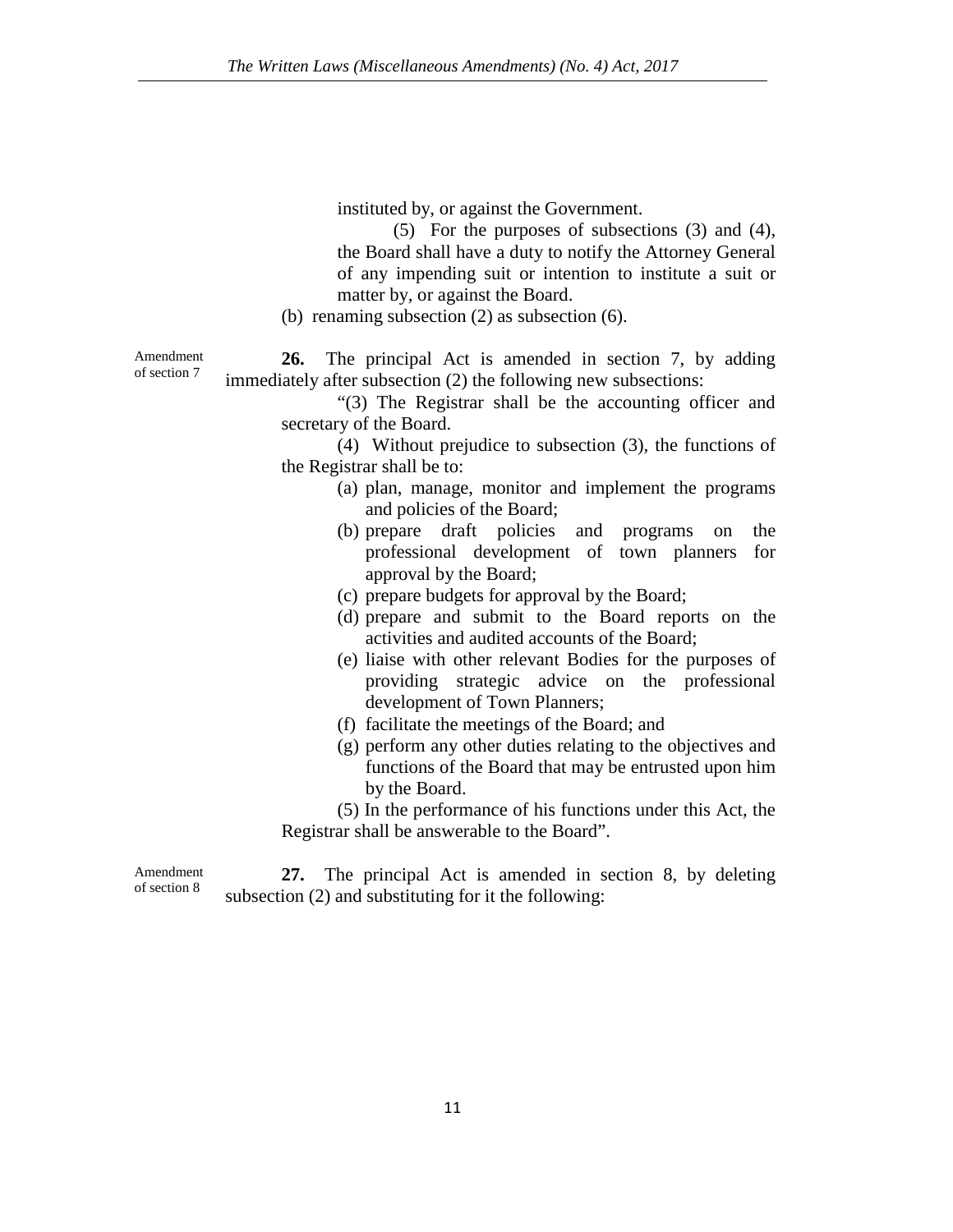instituted by, or against the Government.

(5) For the purposes of subsections (3) and (4), the Board shall have a duty to notify the Attorney General of any impending suit or intention to institute a suit or matter by, or against the Board.

(b) renaming subsection (2) as subsection (6).

**26.** The principal Act is amended in section 7, by adding immediately after subsection (2) the following new subsections:

"(3) The Registrar shall be the accounting officer and secretary of the Board.

(4) Without prejudice to subsection (3), the functions of the Registrar shall be to:

- (a) plan, manage, monitor and implement the programs and policies of the Board;
- (b) prepare draft policies and programs on the professional development of town planners for approval by the Board;
- (c) prepare budgets for approval by the Board;
- (d) prepare and submit to the Board reports on the activities and audited accounts of the Board;
- (e) liaise with other relevant Bodies for the purposes of providing strategic advice on the professional development of Town Planners;
- (f) facilitate the meetings of the Board; and
- (g) perform any other duties relating to the objectives and functions of the Board that may be entrusted upon him by the Board.

(5) In the performance of his functions under this Act, the Registrar shall be answerable to the Board".

Amendment of section 8

**27.** The principal Act is amended in section 8, by deleting subsection (2) and substituting for it the following:

Amendment of section 7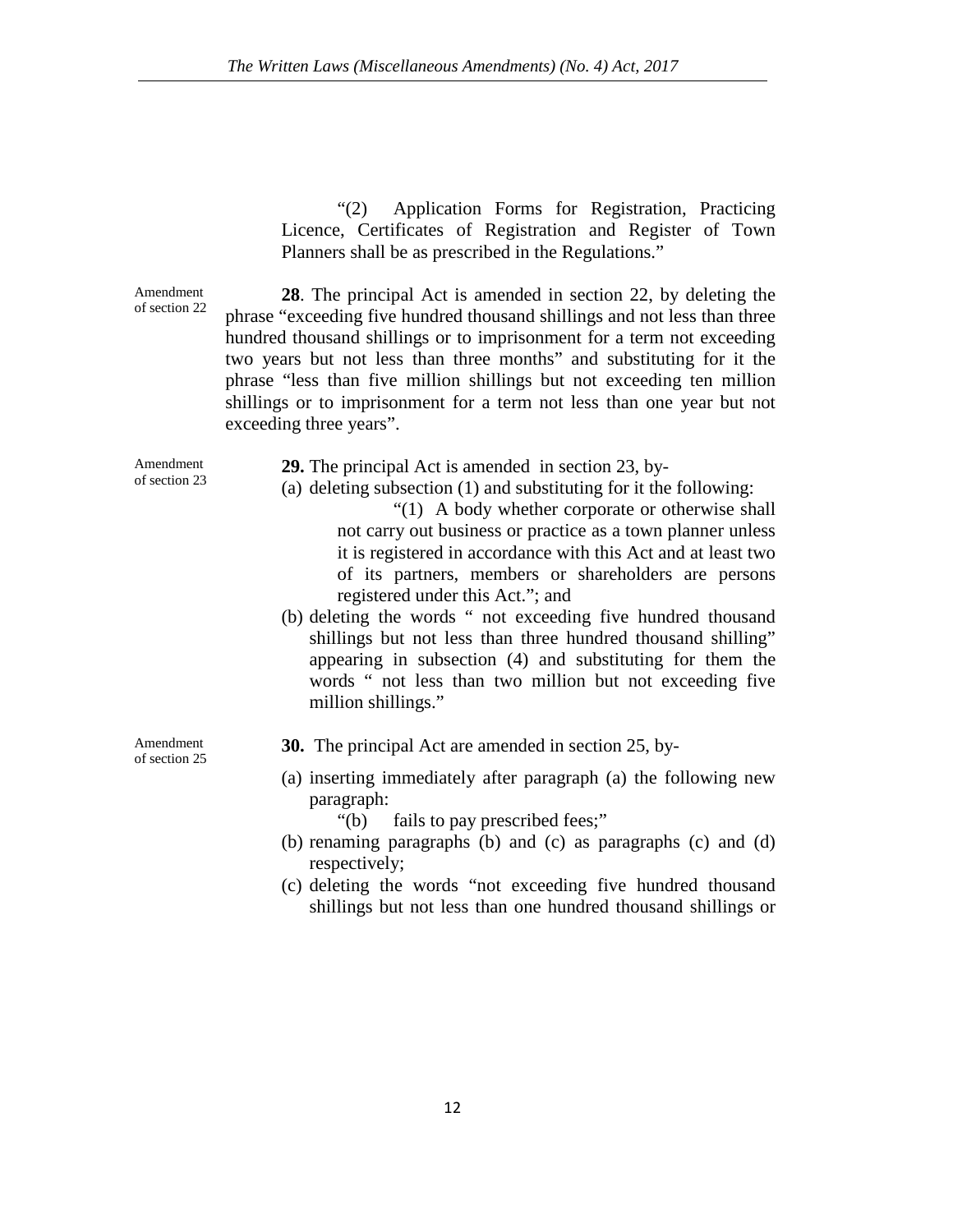"(2) Application Forms for Registration, Practicing Licence, Certificates of Registration and Register of Town Planners shall be as prescribed in the Regulations."

Amendment of section 22 **28**. The principal Act is amended in section 22, by deleting the phrase "exceeding five hundred thousand shillings and not less than three hundred thousand shillings or to imprisonment for a term not exceeding two years but not less than three months" and substituting for it the phrase "less than five million shillings but not exceeding ten million shillings or to imprisonment for a term not less than one year but not exceeding three years".

| Amendment                  | 29. The principal Act is amended in section 23, by-                                                                                                                                                                                                                          |
|----------------------------|------------------------------------------------------------------------------------------------------------------------------------------------------------------------------------------------------------------------------------------------------------------------------|
| of section 23              | (a) deleting subsection $(1)$ and substituting for it the following:                                                                                                                                                                                                         |
|                            | "(1) A body whether corporate or otherwise shall                                                                                                                                                                                                                             |
|                            | not carry out business or practice as a town planner unless                                                                                                                                                                                                                  |
|                            | it is registered in accordance with this Act and at least two                                                                                                                                                                                                                |
|                            | of its partners, members or shareholders are persons                                                                                                                                                                                                                         |
|                            | registered under this Act."; and                                                                                                                                                                                                                                             |
|                            | (b) deleting the words " not exceeding five hundred thousand<br>shillings but not less than three hundred thousand shilling"<br>appearing in subsection (4) and substituting for them the<br>words " not less than two million but not exceeding five<br>million shillings." |
| Amendment<br>of section 25 | <b>30.</b> The principal Act are amended in section 25, by-                                                                                                                                                                                                                  |
|                            | (a) inserting immediately after paragraph (a) the following new<br>paragraph:<br>"(b) fails to pay prescribed fees;"                                                                                                                                                         |
|                            | (b) renaming paragraphs (b) and (c) as paragraphs (c) and (d)<br>respectively;                                                                                                                                                                                               |

(c) deleting the words "not exceeding five hundred thousand shillings but not less than one hundred thousand shillings or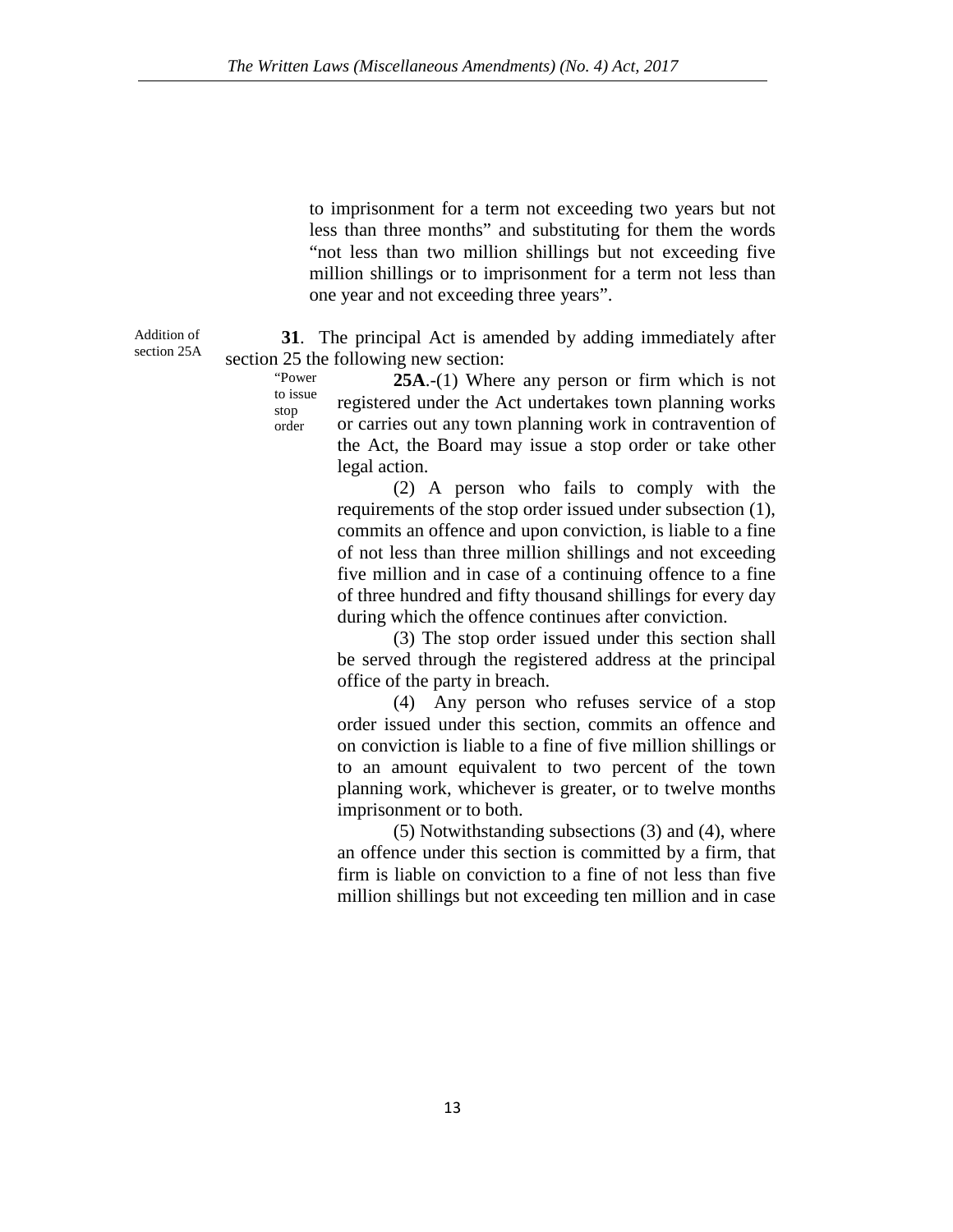to imprisonment for a term not exceeding two years but not less than three months" and substituting for them the words "not less than two million shillings but not exceeding five million shillings or to imprisonment for a term not less than one year and not exceeding three years".

**31**. The principal Act is amended by adding immediately after section 25 the following new section:

> "Power to issue stop order **25A**.-(1) Where any person or firm which is not registered under the Act undertakes town planning works or carries out any town planning work in contravention of the Act, the Board may issue a stop order or take other legal action.

> > (2) A person who fails to comply with the requirements of the stop order issued under subsection (1), commits an offence and upon conviction, is liable to a fine of not less than three million shillings and not exceeding five million and in case of a continuing offence to a fine of three hundred and fifty thousand shillings for every day during which the offence continues after conviction.

> > (3) The stop order issued under this section shall be served through the registered address at the principal office of the party in breach.

> > (4) Any person who refuses service of a stop order issued under this section, commits an offence and on conviction is liable to a fine of five million shillings or to an amount equivalent to two percent of the town planning work, whichever is greater, or to twelve months imprisonment or to both.

> > (5) Notwithstanding subsections (3) and (4), where an offence under this section is committed by a firm, that firm is liable on conviction to a fine of not less than five million shillings but not exceeding ten million and in case

Addition of section 25A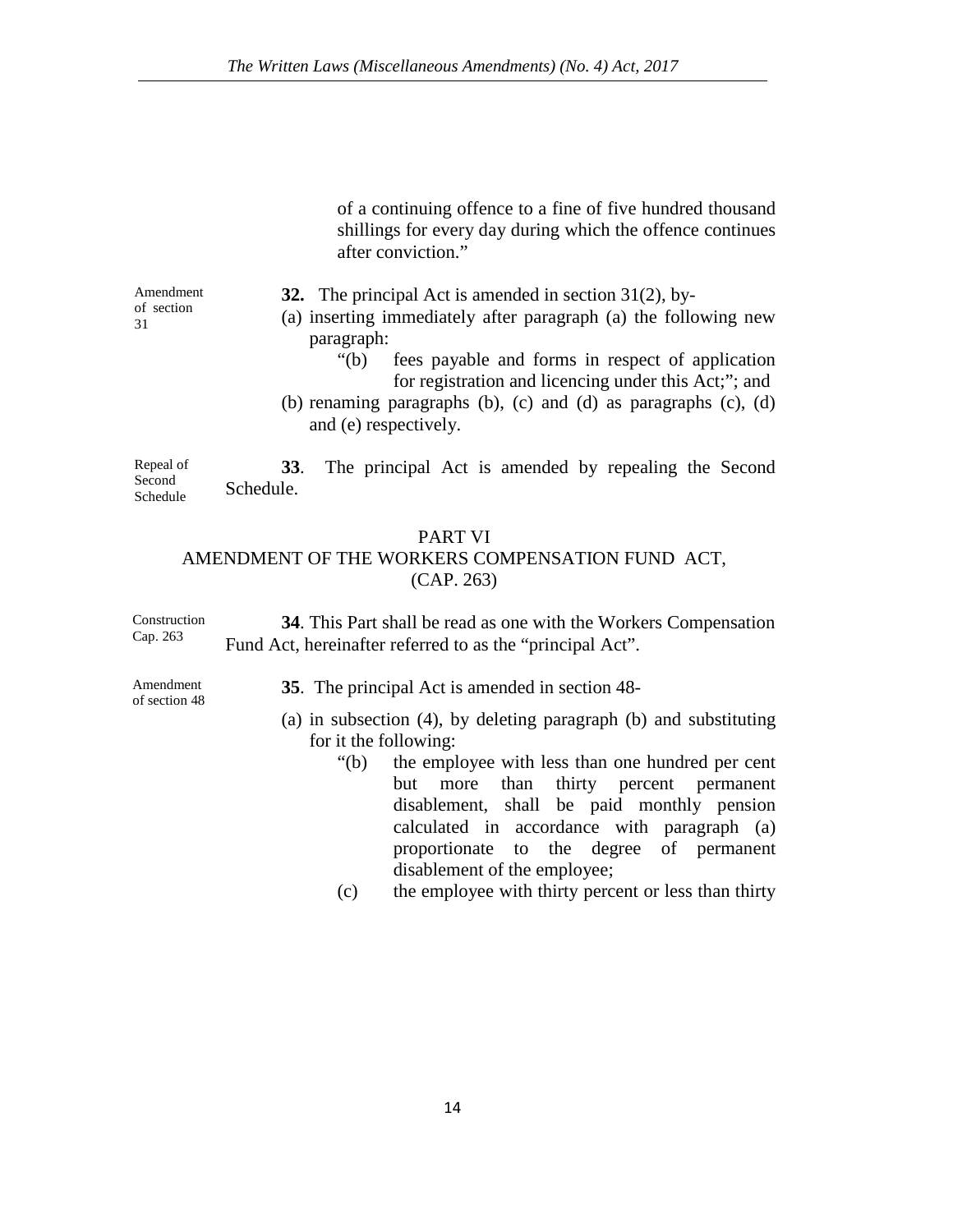of a continuing offence to a fine of five hundred thousand shillings for every day during which the offence continues after conviction."

Amendment of section 31

**32.** The principal Act is amended in section 31(2), by-

- (a) inserting immediately after paragraph (a) the following new paragraph:
	- "(b) fees payable and forms in respect of application for registration and licencing under this Act;"; and
- (b) renaming paragraphs (b), (c) and (d) as paragraphs (c), (d) and (e) respectively.

Repeal of Second Schedule **33**. The principal Act is amended by repealing the Second Schedule.

### PART VI

### AMENDMENT OF THE WORKERS COMPENSATION FUND ACT, (CAP. 263)

Construction Cap. 263 **34**. This Part shall be read as one with the Workers Compensation Fund Act, hereinafter referred to as the "principal Act".

Amendment of section 48

- **35**. The principal Act is amended in section 48-
- (a) in subsection (4), by deleting paragraph (b) and substituting for it the following:
	- "(b) the employee with less than one hundred per cent but more than thirty percent permanent disablement, shall be paid monthly pension calculated in accordance with paragraph (a) proportionate to the degree of permanent disablement of the employee;
	- (c) the employee with thirty percent or less than thirty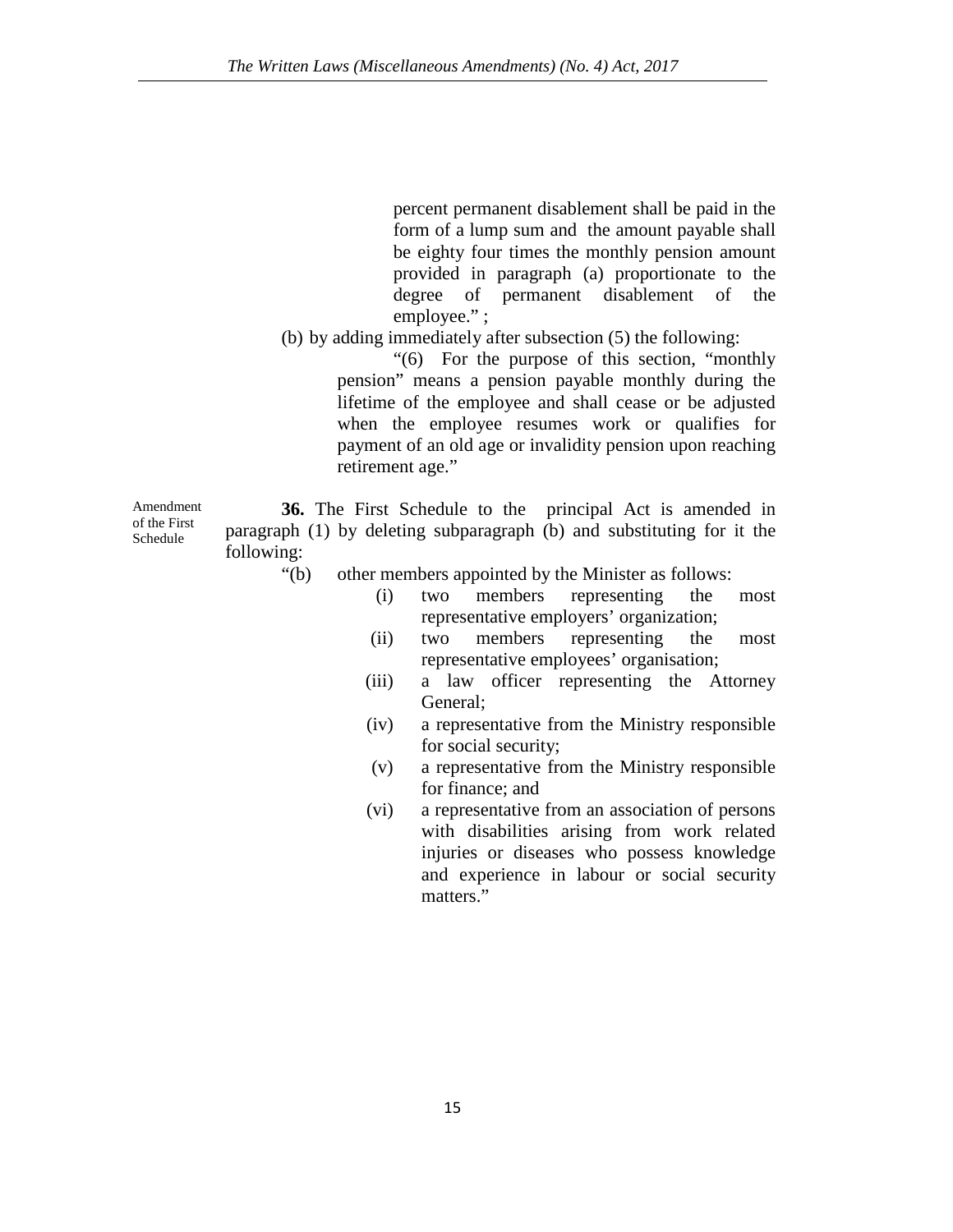percent permanent disablement shall be paid in the form of a lump sum and the amount payable shall be eighty four times the monthly pension amount provided in paragraph (a) proportionate to the degree of permanent disablement of the employee." ;

(b) by adding immediately after subsection (5) the following:

"(6) For the purpose of this section, "monthly pension" means a pension payable monthly during the lifetime of the employee and shall cease or be adjusted when the employee resumes work or qualifies for payment of an old age or invalidity pension upon reaching retirement age."

Amendment **36.** The First Schedule to the principal Act is amended in paragraph (1) by deleting subparagraph (b) and substituting for it the following:

- "(b) other members appointed by the Minister as follows:
	- (i) two members representing the most representative employers' organization;
	- (ii) two members representing the most representative employees' organisation;
	- (iii) a law officer representing the Attorney General;
	- (iv) a representative from the Ministry responsible for social security;
	- (v) a representative from the Ministry responsible for finance; and
	- (vi) a representative from an association of persons with disabilities arising from work related injuries or diseases who possess knowledge and experience in labour or social security matters."

of the First Schedule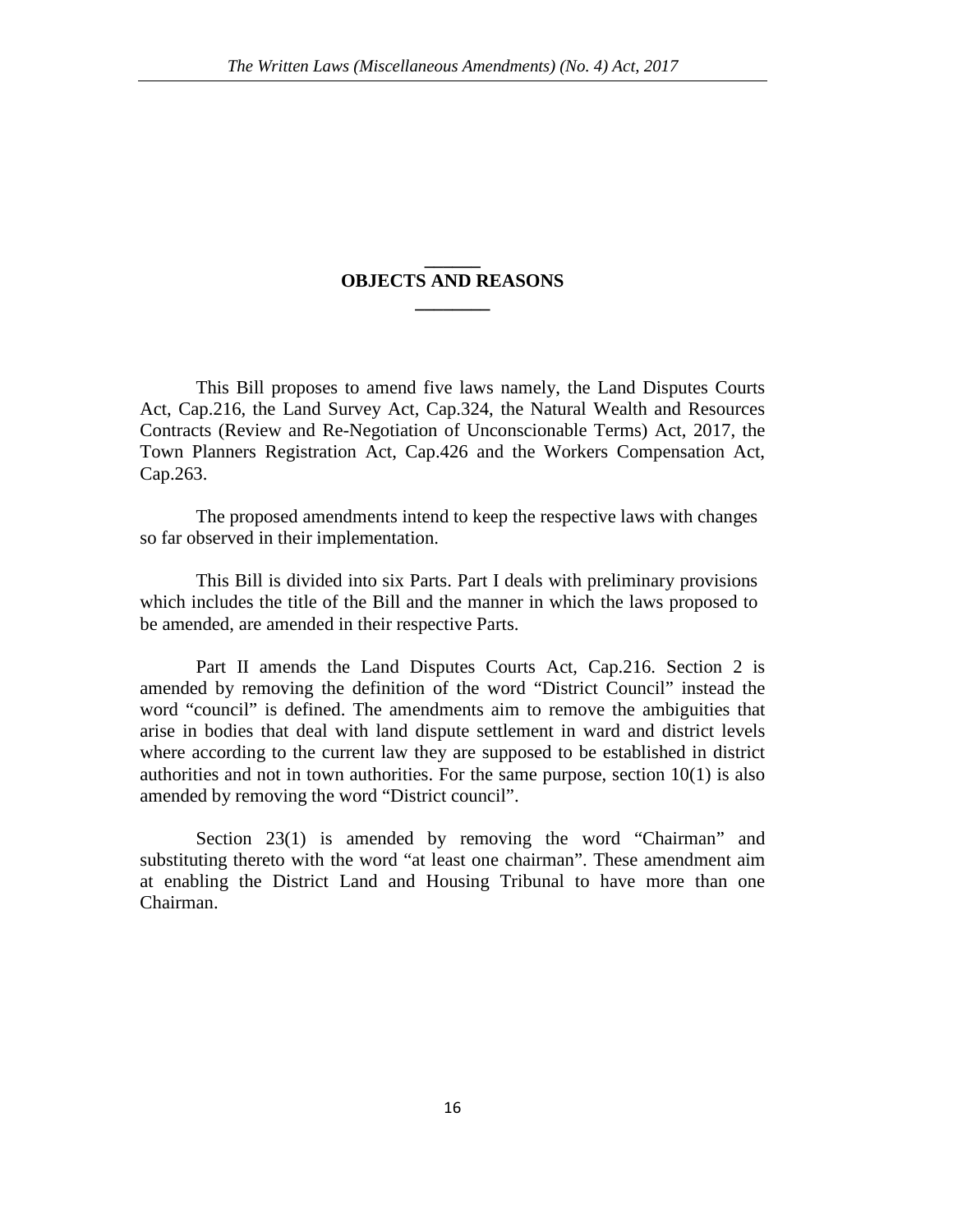### **\_\_\_\_\_\_ OBJECTS AND REASONS \_\_\_\_\_\_\_\_**

This Bill proposes to amend five laws namely, the Land Disputes Courts Act, Cap.216, the Land Survey Act, Cap.324, the Natural Wealth and Resources Contracts (Review and Re-Negotiation of Unconscionable Terms) Act, 2017, the Town Planners Registration Act, Cap.426 and the Workers Compensation Act, Cap.263.

The proposed amendments intend to keep the respective laws with changes so far observed in their implementation.

This Bill is divided into six Parts. Part I deals with preliminary provisions which includes the title of the Bill and the manner in which the laws proposed to be amended, are amended in their respective Parts.

Part II amends the Land Disputes Courts Act, Cap.216. Section 2 is amended by removing the definition of the word "District Council" instead the word "council" is defined. The amendments aim to remove the ambiguities that arise in bodies that deal with land dispute settlement in ward and district levels where according to the current law they are supposed to be established in district authorities and not in town authorities. For the same purpose, section 10(1) is also amended by removing the word "District council".

Section 23(1) is amended by removing the word "Chairman" and substituting thereto with the word "at least one chairman". These amendment aim at enabling the District Land and Housing Tribunal to have more than one Chairman.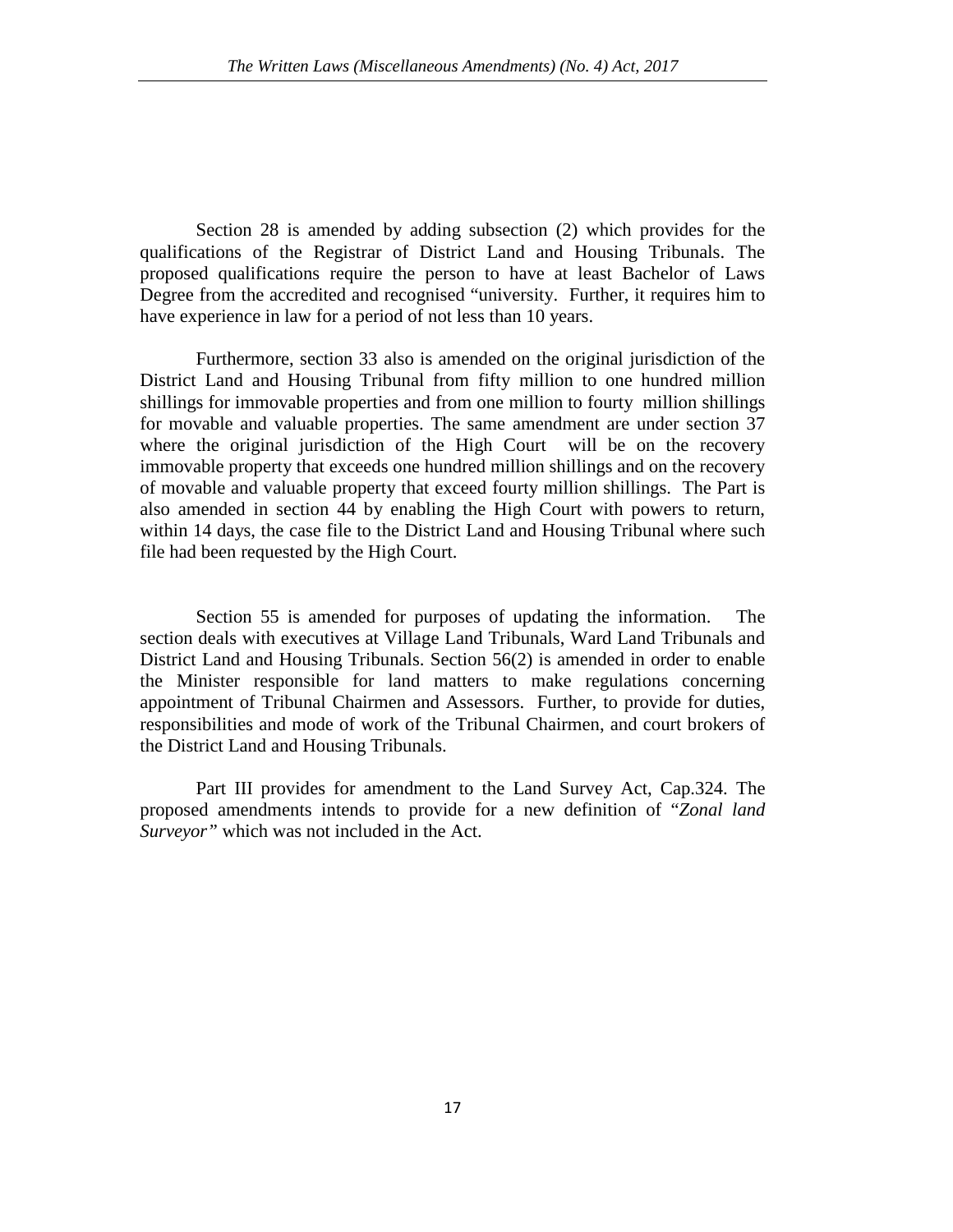Section 28 is amended by adding subsection (2) which provides for the qualifications of the Registrar of District Land and Housing Tribunals. The proposed qualifications require the person to have at least Bachelor of Laws Degree from the accredited and recognised "university. Further, it requires him to have experience in law for a period of not less than 10 years.

Furthermore, section 33 also is amended on the original jurisdiction of the District Land and Housing Tribunal from fifty million to one hundred million shillings for immovable properties and from one million to fourty million shillings for movable and valuable properties. The same amendment are under section 37 where the original jurisdiction of the High Court will be on the recovery immovable property that exceeds one hundred million shillings and on the recovery of movable and valuable property that exceed fourty million shillings. The Part is also amended in section 44 by enabling the High Court with powers to return, within 14 days, the case file to the District Land and Housing Tribunal where such file had been requested by the High Court.

Section 55 is amended for purposes of updating the information. The section deals with executives at Village Land Tribunals, Ward Land Tribunals and District Land and Housing Tribunals. Section 56(2) is amended in order to enable the Minister responsible for land matters to make regulations concerning appointment of Tribunal Chairmen and Assessors. Further, to provide for duties, responsibilities and mode of work of the Tribunal Chairmen, and court brokers of the District Land and Housing Tribunals.

Part III provides for amendment to the Land Survey Act, Cap.324. The proposed amendments intends to provide for a new definition of "*Zonal land Surveyor"* which was not included in the Act.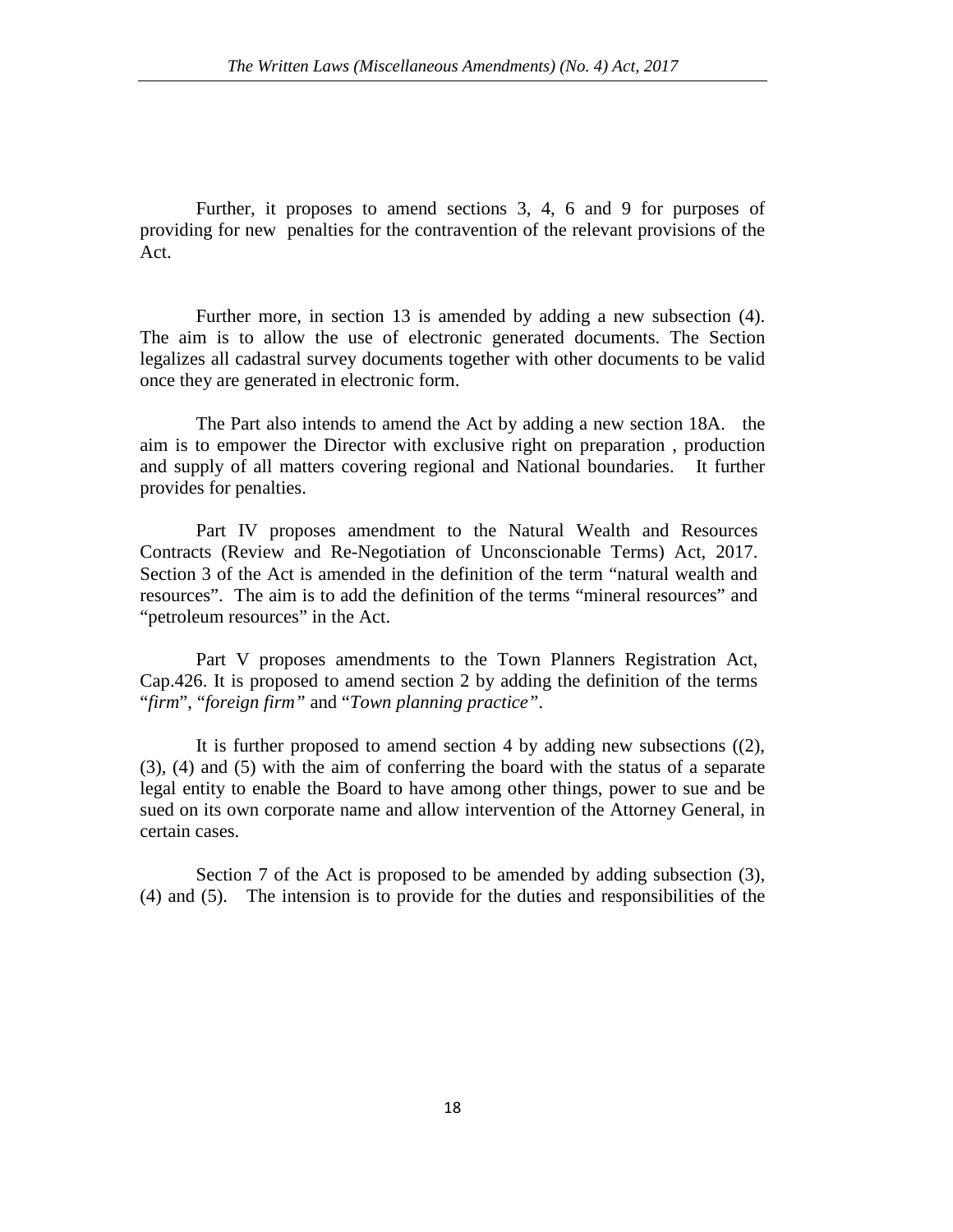Further, it proposes to amend sections 3, 4, 6 and 9 for purposes of providing for new penalties for the contravention of the relevant provisions of the Act.

Further more, in section 13 is amended by adding a new subsection (4). The aim is to allow the use of electronic generated documents. The Section legalizes all cadastral survey documents together with other documents to be valid once they are generated in electronic form.

The Part also intends to amend the Act by adding a new section 18A. the aim is to empower the Director with exclusive right on preparation , production and supply of all matters covering regional and National boundaries. It further provides for penalties.

Part IV proposes amendment to the Natural Wealth and Resources Contracts (Review and Re-Negotiation of Unconscionable Terms) Act, 2017. Section 3 of the Act is amended in the definition of the term "natural wealth and resources". The aim is to add the definition of the terms "mineral resources" and "petroleum resources" in the Act.

Part V proposes amendments to the Town Planners Registration Act, Cap.426. It is proposed to amend section 2 by adding the definition of the terms "*firm*", "*foreign firm"* and "*Town planning practice"*.

It is further proposed to amend section 4 by adding new subsections ((2), (3), (4) and (5) with the aim of conferring the board with the status of a separate legal entity to enable the Board to have among other things, power to sue and be sued on its own corporate name and allow intervention of the Attorney General, in certain cases.

Section 7 of the Act is proposed to be amended by adding subsection (3), (4) and (5). The intension is to provide for the duties and responsibilities of the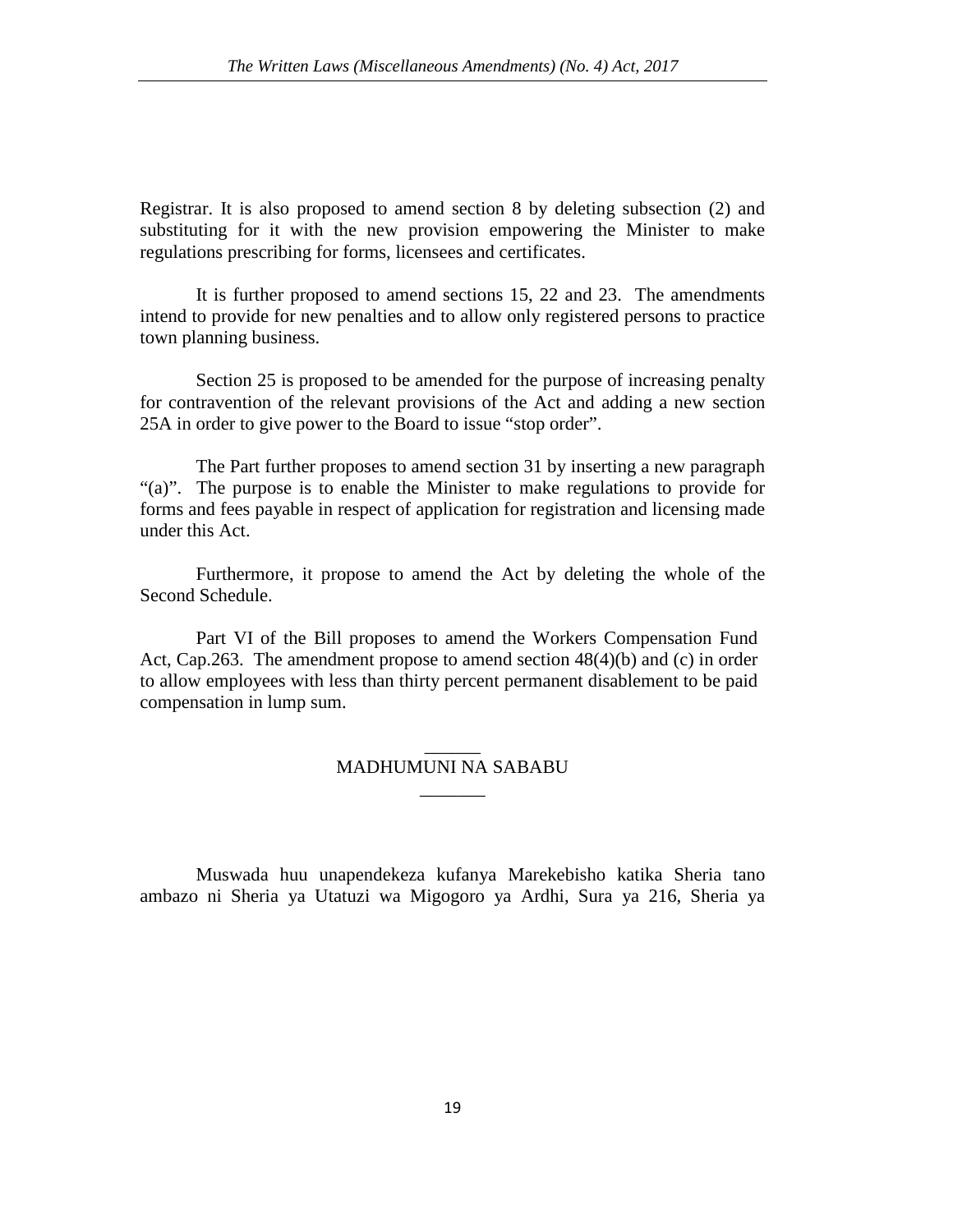Registrar. It is also proposed to amend section 8 by deleting subsection (2) and substituting for it with the new provision empowering the Minister to make regulations prescribing for forms, licensees and certificates.

It is further proposed to amend sections 15, 22 and 23. The amendments intend to provide for new penalties and to allow only registered persons to practice town planning business.

Section 25 is proposed to be amended for the purpose of increasing penalty for contravention of the relevant provisions of the Act and adding a new section 25A in order to give power to the Board to issue "stop order".

The Part further proposes to amend section 31 by inserting a new paragraph "(a)". The purpose is to enable the Minister to make regulations to provide for forms and fees payable in respect of application for registration and licensing made under this Act.

Furthermore, it propose to amend the Act by deleting the whole of the Second Schedule.

Part VI of the Bill proposes to amend the Workers Compensation Fund Act, Cap.263. The amendment propose to amend section 48(4)(b) and (c) in order to allow employees with less than thirty percent permanent disablement to be paid compensation in lump sum.

### $\overline{\phantom{a}}$ MADHUMUNI NA SABABU  $\overline{\phantom{a}}$

Muswada huu unapendekeza kufanya Marekebisho katika Sheria tano ambazo ni Sheria ya Utatuzi wa Migogoro ya Ardhi, Sura ya 216, Sheria ya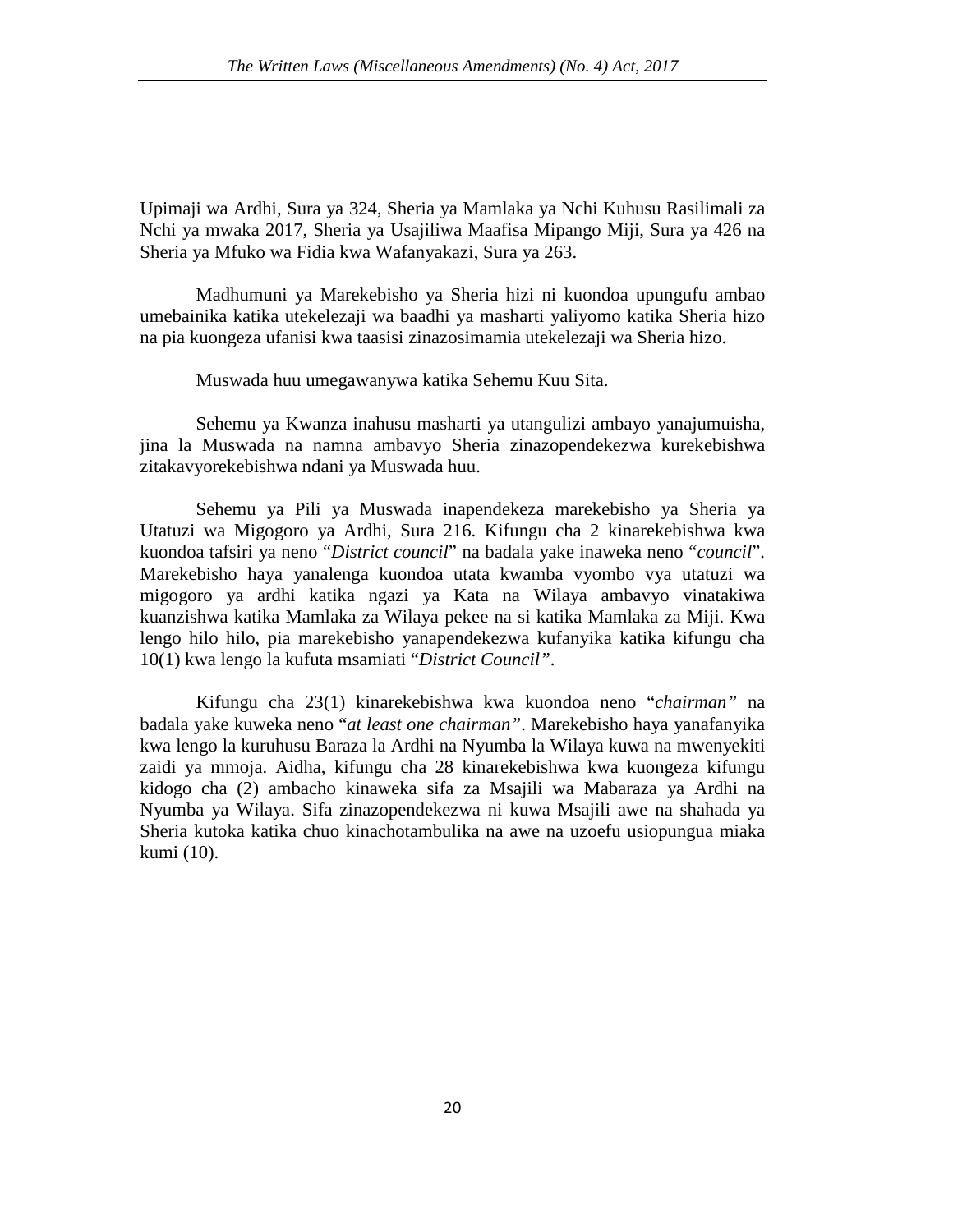Upimaji wa Ardhi, Sura ya 324, Sheria ya Mamlaka ya Nchi Kuhusu Rasilimali za Nchi ya mwaka 2017, Sheria ya Usajiliwa Maafisa Mipango Miji, Sura ya 426 na Sheria ya Mfuko wa Fidia kwa Wafanyakazi, Sura ya 263.

Madhumuni ya Marekebisho ya Sheria hizi ni kuondoa upungufu ambao umebainika katika utekelezaji wa baadhi ya masharti yaliyomo katika Sheria hizo na pia kuongeza ufanisi kwa taasisi zinazosimamia utekelezaji wa Sheria hizo.

Muswada huu umegawanywa katika Sehemu Kuu Sita.

Sehemu ya Kwanza inahusu masharti ya utangulizi ambayo yanajumuisha, jina la Muswada na namna ambavyo Sheria zinazopendekezwa kurekebishwa zitakavyorekebishwa ndani ya Muswada huu.

Sehemu ya Pili ya Muswada inapendekeza marekebisho ya Sheria ya Utatuzi wa Migogoro ya Ardhi, Sura 216. Kifungu cha 2 kinarekebishwa kwa kuondoa tafsiri ya neno "*District council*" na badala yake inaweka neno "*council*". Marekebisho haya yanalenga kuondoa utata kwamba vyombo vya utatuzi wa migogoro ya ardhi katika ngazi ya Kata na Wilaya ambavyo vinatakiwa kuanzishwa katika Mamlaka za Wilaya pekee na si katika Mamlaka za Miji. Kwa lengo hilo hilo, pia marekebisho yanapendekezwa kufanyika katika kifungu cha 10(1) kwa lengo la kufuta msamiati "*District Council"*.

Kifungu cha 23(1) kinarekebishwa kwa kuondoa neno "*chairman"* na badala yake kuweka neno "*at least one chairman"*. Marekebisho haya yanafanyika kwa lengo la kuruhusu Baraza la Ardhi na Nyumba la Wilaya kuwa na mwenyekiti zaidi ya mmoja. Aidha, kifungu cha 28 kinarekebishwa kwa kuongeza kifungu kidogo cha (2) ambacho kinaweka sifa za Msajili wa Mabaraza ya Ardhi na Nyumba ya Wilaya. Sifa zinazopendekezwa ni kuwa Msajili awe na shahada ya Sheria kutoka katika chuo kinachotambulika na awe na uzoefu usiopungua miaka kumi (10).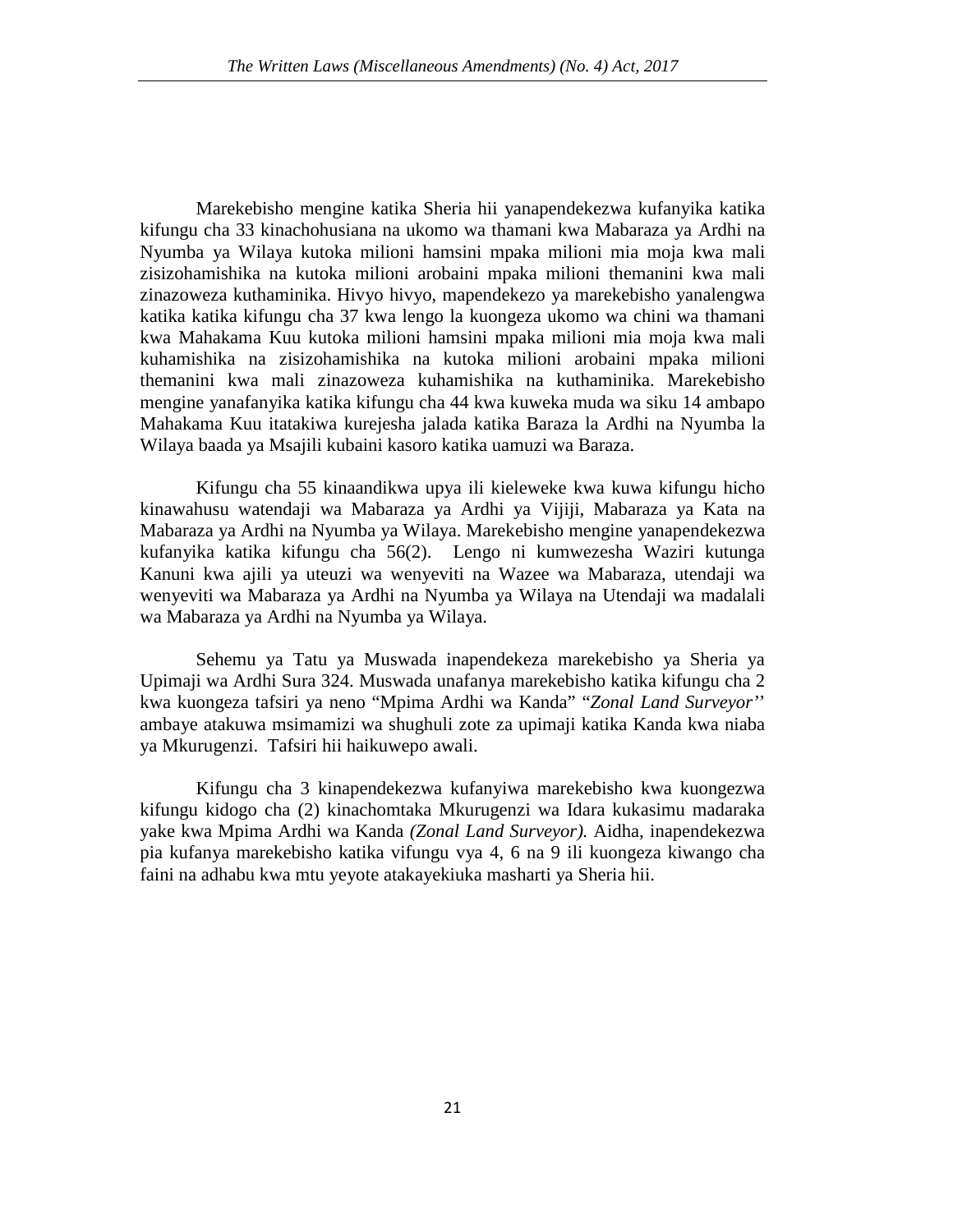Marekebisho mengine katika Sheria hii yanapendekezwa kufanyika katika kifungu cha 33 kinachohusiana na ukomo wa thamani kwa Mabaraza ya Ardhi na Nyumba ya Wilaya kutoka milioni hamsini mpaka milioni mia moja kwa mali zisizohamishika na kutoka milioni arobaini mpaka milioni themanini kwa mali zinazoweza kuthaminika. Hivyo hivyo, mapendekezo ya marekebisho yanalengwa katika katika kifungu cha 37 kwa lengo la kuongeza ukomo wa chini wa thamani kwa Mahakama Kuu kutoka milioni hamsini mpaka milioni mia moja kwa mali kuhamishika na zisizohamishika na kutoka milioni arobaini mpaka milioni themanini kwa mali zinazoweza kuhamishika na kuthaminika. Marekebisho mengine yanafanyika katika kifungu cha 44 kwa kuweka muda wa siku 14 ambapo Mahakama Kuu itatakiwa kurejesha jalada katika Baraza la Ardhi na Nyumba la Wilaya baada ya Msajili kubaini kasoro katika uamuzi wa Baraza.

Kifungu cha 55 kinaandikwa upya ili kieleweke kwa kuwa kifungu hicho kinawahusu watendaji wa Mabaraza ya Ardhi ya Vijiji, Mabaraza ya Kata na Mabaraza ya Ardhi na Nyumba ya Wilaya. Marekebisho mengine yanapendekezwa kufanyika katika kifungu cha 56(2). Lengo ni kumwezesha Waziri kutunga Kanuni kwa ajili ya uteuzi wa wenyeviti na Wazee wa Mabaraza, utendaji wa wenyeviti wa Mabaraza ya Ardhi na Nyumba ya Wilaya na Utendaji wa madalali wa Mabaraza ya Ardhi na Nyumba ya Wilaya.

Sehemu ya Tatu ya Muswada inapendekeza marekebisho ya Sheria ya Upimaji wa Ardhi Sura 324. Muswada unafanya marekebisho katika kifungu cha 2 kwa kuongeza tafsiri ya neno "Mpima Ardhi wa Kanda" "*Zonal Land Surveyor'*' ambaye atakuwa msimamizi wa shughuli zote za upimaji katika Kanda kwa niaba ya Mkurugenzi. Tafsiri hii haikuwepo awali.

Kifungu cha 3 kinapendekezwa kufanyiwa marekebisho kwa kuongezwa kifungu kidogo cha (2) kinachomtaka Mkurugenzi wa Idara kukasimu madaraka yake kwa Mpima Ardhi wa Kanda *(Zonal Land Surveyor).* Aidha, inapendekezwa pia kufanya marekebisho katika vifungu vya 4, 6 na 9 ili kuongeza kiwango cha faini na adhabu kwa mtu yeyote atakayekiuka masharti ya Sheria hii.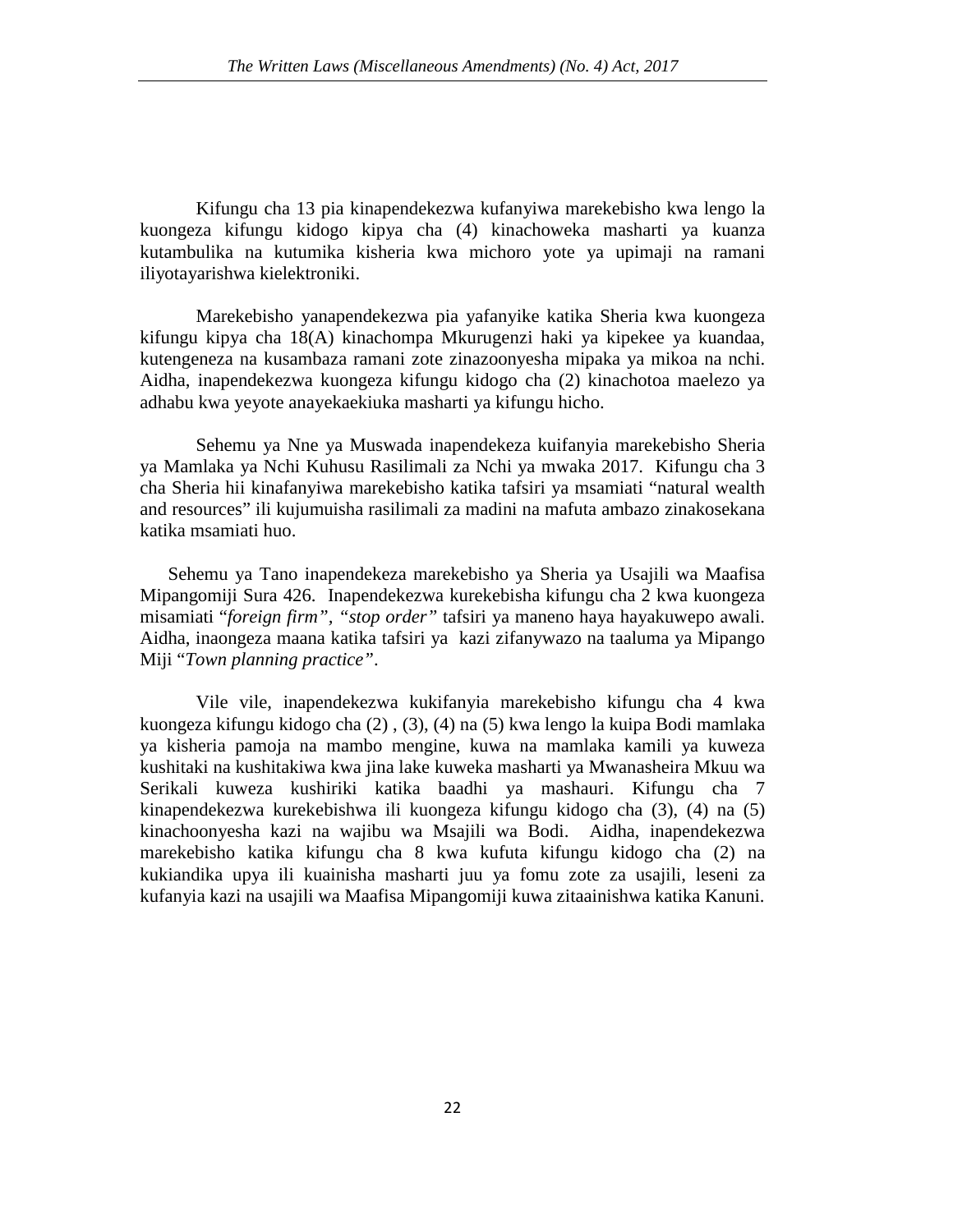Kifungu cha 13 pia kinapendekezwa kufanyiwa marekebisho kwa lengo la kuongeza kifungu kidogo kipya cha (4) kinachoweka masharti ya kuanza kutambulika na kutumika kisheria kwa michoro yote ya upimaji na ramani iliyotayarishwa kielektroniki.

Marekebisho yanapendekezwa pia yafanyike katika Sheria kwa kuongeza kifungu kipya cha 18(A) kinachompa Mkurugenzi haki ya kipekee ya kuandaa, kutengeneza na kusambaza ramani zote zinazoonyesha mipaka ya mikoa na nchi. Aidha, inapendekezwa kuongeza kifungu kidogo cha (2) kinachotoa maelezo ya adhabu kwa yeyote anayekaekiuka masharti ya kifungu hicho.

Sehemu ya Nne ya Muswada inapendekeza kuifanyia marekebisho Sheria ya Mamlaka ya Nchi Kuhusu Rasilimali za Nchi ya mwaka 2017. Kifungu cha 3 cha Sheria hii kinafanyiwa marekebisho katika tafsiri ya msamiati "natural wealth and resources" ili kujumuisha rasilimali za madini na mafuta ambazo zinakosekana katika msamiati huo.

 Sehemu ya Tano inapendekeza marekebisho ya Sheria ya Usajili wa Maafisa Mipangomiji Sura 426. Inapendekezwa kurekebisha kifungu cha 2 kwa kuongeza misamiati "*foreign firm", "stop order"* tafsiri ya maneno haya hayakuwepo awali. Aidha, inaongeza maana katika tafsiri ya kazi zifanywazo na taaluma ya Mipango Miji "*Town planning practice"*.

Vile vile, inapendekezwa kukifanyia marekebisho kifungu cha 4 kwa kuongeza kifungu kidogo cha (2) , (3), (4) na (5) kwa lengo la kuipa Bodi mamlaka ya kisheria pamoja na mambo mengine, kuwa na mamlaka kamili ya kuweza kushitaki na kushitakiwa kwa jina lake kuweka masharti ya Mwanasheira Mkuu wa Serikali kuweza kushiriki katika baadhi ya mashauri. Kifungu cha 7 kinapendekezwa kurekebishwa ili kuongeza kifungu kidogo cha (3), (4) na (5) kinachoonyesha kazi na wajibu wa Msajili wa Bodi. Aidha, inapendekezwa marekebisho katika kifungu cha 8 kwa kufuta kifungu kidogo cha (2) na kukiandika upya ili kuainisha masharti juu ya fomu zote za usajili, leseni za kufanyia kazi na usajili wa Maafisa Mipangomiji kuwa zitaainishwa katika Kanuni.